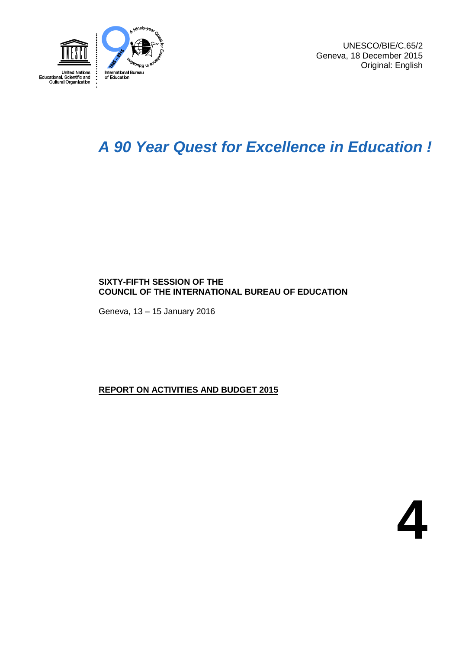

UNESCO/BIE/C.65/2 Geneva, 18 December 2015 Original: English

## *A 90 Year Quest for Excellence in Education !*

### **SIXTY-FIFTH SESSION OF THE COUNCIL OF THE INTERNATIONAL BUREAU OF EDUCATION**

Geneva, 13 – 15 January 2016

### **REPORT ON ACTIVITIES AND BUDGET 2015**

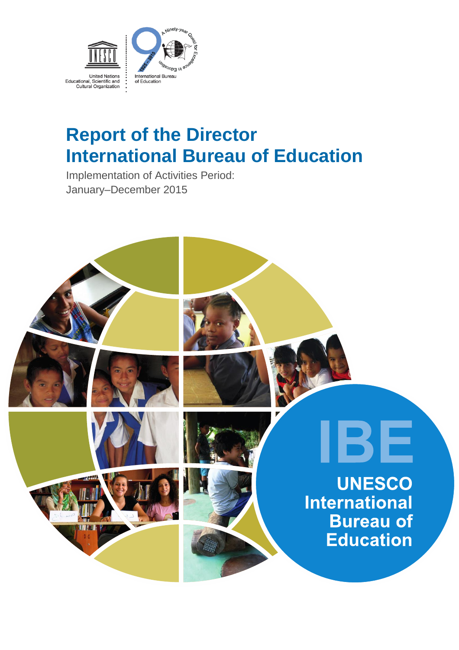

# **Report of the Director International Bureau of Education**

Implementation of Activities Period: January–December 2015

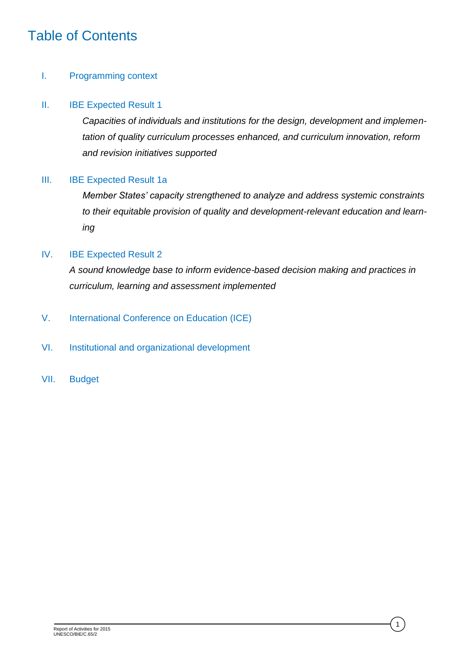## Table of Contents

### I. Programming context

### II. IBE Expected Result 1

*Capacities of individuals and institutions for the design, development and implementation of quality curriculum processes enhanced, and curriculum innovation, reform and revision initiatives supported*

### III. IBE Expected Result 1a

*Member States' capacity strengthened to analyze and address systemic constraints to their equitable provision of quality and development-relevant education and learning*

### IV. IBE Expected Result 2

*A sound knowledge base to inform evidence-based decision making and practices in curriculum, learning and assessment implemented*

- V. International Conference on Education (ICE)
- VI. Institutional and organizational development
- VII. Budget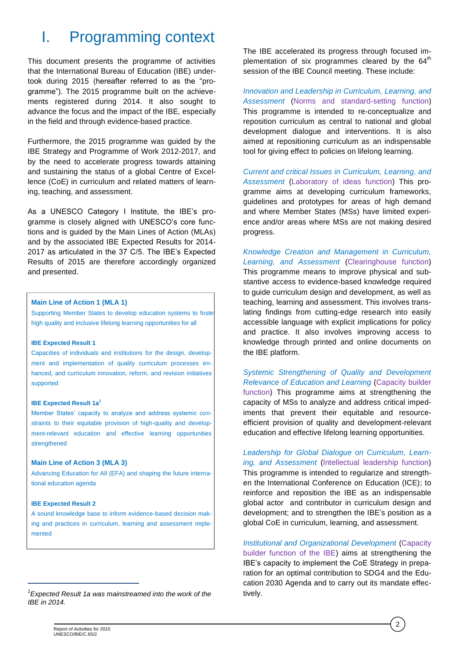## I. Programming context

This document presents the programme of activities that the International Bureau of Education (IBE) undertook during 2015 (hereafter referred to as the "programme"). The 2015 programme built on the achievements registered during 2014. It also sought to advance the focus and the impact of the IBE, especially in the field and through evidence-based practice.

Furthermore, the 2015 programme was guided by the IBE Strategy and Programme of Work 2012-2017, and by the need to accelerate progress towards attaining and sustaining the status of a global Centre of Excellence (CoE) in curriculum and related matters of learning, teaching, and assessment.

As a UNESCO Category I Institute, the IBE's programme is closely aligned with UNESCO's core functions and is guided by the Main Lines of Action (MLAs) and by the associated IBE Expected Results for 2014- 2017 as articulated in the 37 C/5. The IBE's Expected Results of 2015 are therefore accordingly organized and presented.

### **Main Line of Action 1 (MLA 1)**

Supporting Member States to develop education systems to foste high quality and inclusive lifelong learning opportunities for all

### **IBE Expected Result 1**

Capacities of individuals and institutions for the design, development and implementation of quality curriculum processes enhanced, and curriculum innovation, reform, and revision initiatives supported

#### **IBE Expected Result 1a<sup>1</sup>**

Member States' capacity to analyze and address systemic constraints to their equitable provision of high-quality and development-relevant education and effective learning opportunities strengthened

### **Main Line of Action 3 (MLA 3)**

Advancing Education for All (EFA) and shaping the future international education agenda

### **IBE Expected Result 2**

 $\overline{a}$ 

A sound knowledge base to inform evidence-based decision making and practices in curriculum, learning and assessment implemented

The IBE accelerated its progress through focused implementation of six programmes cleared by the  $64<sup>th</sup>$ session of the IBE Council meeting. These include:

*Innovation and Leadership in Curriculum, Learning, and Assessment* (Norms and standard-setting function) This programme is intended to re-conceptualize and reposition curriculum as central to national and global development dialogue and interventions. It is also aimed at repositioning curriculum as an indispensable tool for giving effect to policies on lifelong learning.

*Current and critical Issues in Curriculum, Learning, and Assessment* (Laboratory of ideas function) This programme aims at developing curriculum frameworks, guidelines and prototypes for areas of high demand and where Member States (MSs) have limited experience and/or areas where MSs are not making desired progress.

*Knowledge Creation and Management in Curriculum, Learning, and Assessment* (Clearinghouse function) This programme means to improve physical and substantive access to evidence-based knowledge required to guide curriculum design and development, as well as teaching, learning and assessment. This involves translating findings from cutting-edge research into easily accessible language with explicit implications for policy and practice. It also involves improving access to knowledge through printed and online documents on the IBE platform.

*Systemic Strengthening of Quality and Development Relevance of Education and Learning* (Capacity builder function) This programme aims at strengthening the capacity of MSs to analyze and address critical impediments that prevent their equitable and resourceefficient provision of quality and development-relevant education and effective lifelong learning opportunities.

*Leadership for Global Dialogue on Curriculum, Learning, and Assessment* (Intellectual leadership function) This programme is intended to regularize and strengthen the International Conference on Education (ICE); to reinforce and reposition the IBE as an indispensable global actor and contributor in curriculum design and development; and to strengthen the IBE's position as a global CoE in curriculum, learning, and assessment.

*Institutional and Organizational Development* (Capacity builder function of the IBE) aims at strengthening the IBE's capacity to implement the CoE Strategy in preparation for an optimal contribution to SDG4 and the Education 2030 Agenda and to carry out its mandate effectively.

2

*<sup>1</sup> Expected Result 1a was mainstreamed into the work of the IBE in 2014.*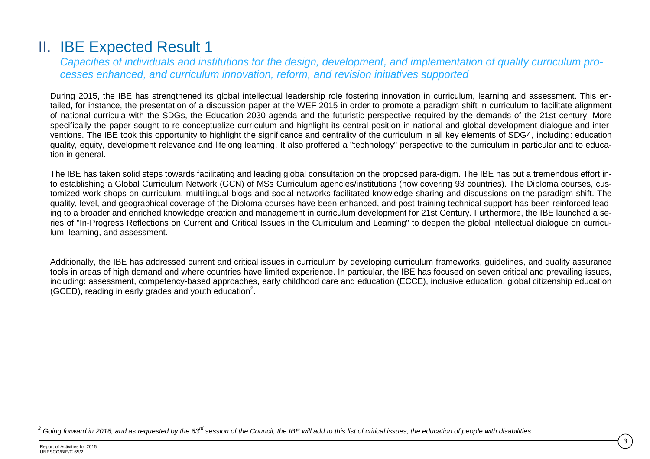## II. IBE Expected Result 1

*Capacities of individuals and institutions for the design, development, and implementation of quality curriculum processes enhanced, and curriculum innovation, reform, and revision initiatives supported*

During 2015, the IBE has strengthened its global intellectual leadership role fostering innovation in curriculum, learning and assessment. This entailed, for instance, the presentation of a discussion paper at the WEF 2015 in order to promote a paradigm shift in curriculum to facilitate alignment of national curricula with the SDGs, the Education 2030 agenda and the futuristic perspective required by the demands of the 21st century. More specifically the paper sought to re-conceptualize curriculum and highlight its central position in national and global development dialogue and interventions. The IBE took this opportunity to highlight the significance and centrality of the curriculum in all key elements of SDG4, including: education quality, equity, development relevance and lifelong learning. It also proffered a "technology" perspective to the curriculum in particular and to education in general.

The IBE has taken solid steps towards facilitating and leading global consultation on the proposed para-digm. The IBE has put a tremendous effort into establishing a Global Curriculum Network (GCN) of MSs Curriculum agencies/institutions (now covering 93 countries). The Diploma courses, customized work-shops on curriculum, multilingual blogs and social networks facilitated knowledge sharing and discussions on the paradigm shift. The quality, level, and geographical coverage of the Diploma courses have been enhanced, and post-training technical support has been reinforced leading to a broader and enriched knowledge creation and management in curriculum development for 21st Century. Furthermore, the IBE launched a series of "In-Progress Reflections on Current and Critical Issues in the Curriculum and Learning" to deepen the global intellectual dialogue on curriculum, learning, and assessment.

Additionally, the IBE has addressed current and critical issues in curriculum by developing curriculum frameworks, guidelines, and quality assurance tools in areas of high demand and where countries have limited experience. In particular, the IBE has focused on seven critical and prevailing issues, including: assessment, competency-based approaches, early childhood care and education (ECCE), inclusive education, global citizenship education  $(GCED)$ , reading in early grades and youth education<sup>2</sup>.

 $\overline{a}$ 

*<sup>2</sup> Going forward in 2016, and as requested by the 63rd session of the Council, the IBE will add to this list of critical issues, the education of people with disabilities.*

Report of Activities for 2015 UNESCO/BIE/C.65/2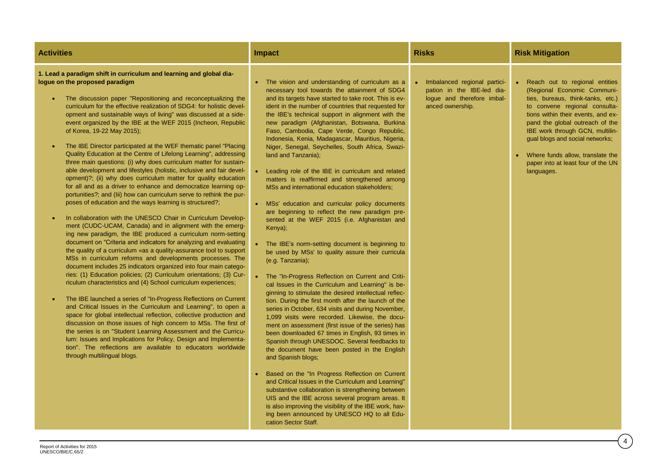| <b>Activities</b>                                                                                                                                                                                                                                                                                                                                                                                                                                                                                                                                                                                                                                                                                                                                                                                                                                                                                                                                                                                                                                                                                                                                                                                                                                                                                                                                                                                                                                                                                                                                                                                                                                                                                                                                                                                                                                                                                                                                                                                                                                                                                                                       | Impact                                                                                                                                                                                                                                                                                                                                                                                                                                                                                                                                                                                                                                                                                                                                                                                                                                                                                                                                                                                                                                                                                                                                                                                                                                                                                                                                                                                                                                                                                                                                                                                                                                                                                                                                                                                                                                                                                 | <b>Risks</b>                                                                                                 | <b>Risk Mitigation</b>                                                                                                                                                                                                                                                                                                                                                     |
|-----------------------------------------------------------------------------------------------------------------------------------------------------------------------------------------------------------------------------------------------------------------------------------------------------------------------------------------------------------------------------------------------------------------------------------------------------------------------------------------------------------------------------------------------------------------------------------------------------------------------------------------------------------------------------------------------------------------------------------------------------------------------------------------------------------------------------------------------------------------------------------------------------------------------------------------------------------------------------------------------------------------------------------------------------------------------------------------------------------------------------------------------------------------------------------------------------------------------------------------------------------------------------------------------------------------------------------------------------------------------------------------------------------------------------------------------------------------------------------------------------------------------------------------------------------------------------------------------------------------------------------------------------------------------------------------------------------------------------------------------------------------------------------------------------------------------------------------------------------------------------------------------------------------------------------------------------------------------------------------------------------------------------------------------------------------------------------------------------------------------------------------|----------------------------------------------------------------------------------------------------------------------------------------------------------------------------------------------------------------------------------------------------------------------------------------------------------------------------------------------------------------------------------------------------------------------------------------------------------------------------------------------------------------------------------------------------------------------------------------------------------------------------------------------------------------------------------------------------------------------------------------------------------------------------------------------------------------------------------------------------------------------------------------------------------------------------------------------------------------------------------------------------------------------------------------------------------------------------------------------------------------------------------------------------------------------------------------------------------------------------------------------------------------------------------------------------------------------------------------------------------------------------------------------------------------------------------------------------------------------------------------------------------------------------------------------------------------------------------------------------------------------------------------------------------------------------------------------------------------------------------------------------------------------------------------------------------------------------------------------------------------------------------------|--------------------------------------------------------------------------------------------------------------|----------------------------------------------------------------------------------------------------------------------------------------------------------------------------------------------------------------------------------------------------------------------------------------------------------------------------------------------------------------------------|
| 1. Lead a paradigm shift in curriculum and learning and global dia-<br>logue on the proposed paradigm<br>The discussion paper "Repositioning and reconceptualizing the<br>curriculum for the effective realization of SDG4: for holistic devel-<br>opment and sustainable ways of living" was discussed at a side-<br>event organized by the IBE at the WEF 2015 (Incheon, Republic<br>of Korea, 19-22 May 2015);<br>The IBE Director participated at the WEF thematic panel "Placing"<br>$\bullet$<br>Quality Education at the Centre of Lifelong Learning", addressing<br>three main questions: (i) why does curriculum matter for sustain-<br>able development and lifestyles (holistic, inclusive and fair devel-<br>opment)?; (ii) why does curriculum matter for quality education<br>for all and as a driver to enhance and democratize learning op-<br>portunities?; and (lii) how can curriculum serve to rethink the pur-<br>poses of education and the ways learning is structured?;<br>In collaboration with the UNESCO Chair in Curriculum Develop-<br>ment (CUDC-UCAM, Canada) and in alignment with the emerg-<br>ing new paradigm, the IBE produced a curriculum norm-setting<br>document on "Criteria and indicators for analyzing and evaluating<br>the quality of a curriculum «as a quality-assurance tool to support<br>MSs in curriculum reforms and developments processes. The<br>document includes 25 indicators organized into four main catego-<br>ries: (1) Education policies; (2) Curriculum orientations; (3) Cur-<br>riculum characteristics and (4) School curriculum experiences;<br>The IBE launched a series of "In-Progress Reflections on Current"<br>and Critical Issues in the Curriculum and Learning", to open a<br>space for global intellectual reflection, collective production and<br>discussion on those issues of high concern to MSs. The first of<br>the series is on "Student Learning Assessment and the Curricu-<br>lum: Issues and Implications for Policy, Design and Implementa-<br>tion". The reflections are available to educators worldwide<br>through multilingual blogs. | The vision and understanding of curriculum as a<br>necessary tool towards the attainment of SDG4<br>and its targets have started to take root. This is ev-<br>ident in the number of countries that requested for<br>the IBE's technical support in alignment with the<br>new paradigm (Afghanistan, Botswana, Burkina<br>Faso, Cambodia, Cape Verde, Congo Republic,<br>Indonesia, Kenia, Madagascar, Mauritius, Nigeria,<br>Niger, Senegal, Seychelles, South Africa, Swazi-<br>land and Tanzania);<br>• Leading role of the IBE in curriculum and related<br>matters is reaffirmed and strengthened among<br>MSs and international education stakeholders;<br>• MSs' education and curricular policy documents<br>are beginning to reflect the new paradigm pre-<br>sented at the WEF 2015 (i.e. Afghanistan and<br>Kenya);<br>The IBE's norm-setting document is beginning to<br>be used by MSs' to quality assure their curricula<br>(e.g. Tanzania);<br>• The "In-Progress Reflection on Current and Criti-<br>cal Issues in the Curriculum and Learning" is be-<br>ginning to stimulate the desired intellectual reflec-<br>tion. During the first month after the launch of the<br>series in October, 634 visits and during November,<br>1,099 visits were recorded. Likewise, the docu-<br>ment on assessment (first issue of the series) has<br>been downloaded 67 times in English, 93 times in<br>Spanish through UNESDOC. Several feedbacks to<br>the document have been posted in the English<br>and Spanish blogs;<br>Based on the "In Progress Reflection on Current<br>and Critical Issues in the Curriculum and Learning"<br>substantive collaboration is strengthening between<br>UIS and the IBE across several program areas. It<br>is also improving the visibility of the IBE work, hav-<br>ing been announced by UNESCO HQ to all Edu-<br>cation Sector Staff. | Imbalanced regional partici-<br>pation in the IBE-led dia-<br>logue and therefore imbal-<br>anced ownership. | Reach out to regional entities<br>(Regional Economic Communi-<br>ties, bureaus, think-tanks, etc.)<br>to convene regional consulta-<br>tions within their events, and ex-<br>pand the global outreach of the<br>IBE work through GCN, multilin-<br>gual blogs and social networks;<br>Where funds allow, translate the<br>paper into at least four of the UN<br>languages. |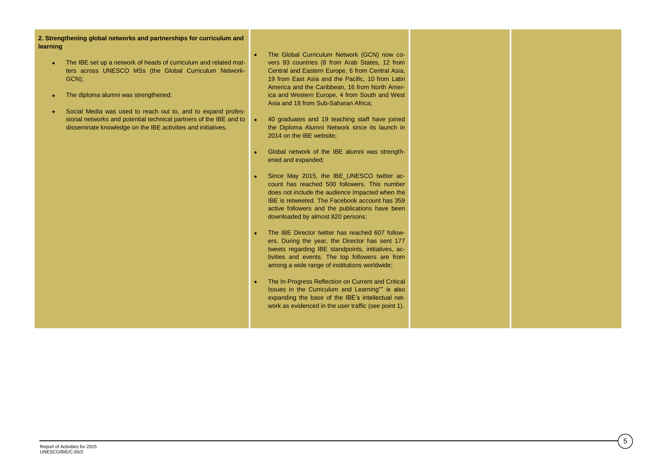**2. Strengthening global networks and partnerships for curriculum and learning**

- The IBE set up a network of heads of curriculum and related matters across UNESCO MSs (the Global Curriculum Network-GCN);
- The diploma alumni was strengthened;
- Social Media was used to reach out to, and to expand professional networks and potential technical partners of the IBE and to disseminate knowledge on the IBE activities and initiatives.
- The Global Curriculum Network (GCN) now covers 93 countries (8 from Arab States, 12 from Central and Eastern Europe, 6 from Central Asia, 19 from East Asia and the Pacific, 10 from Latin America and the Caribbean, 16 from North America and Western Europe, 4 from South and West Asia and 18 from Sub-Saharan Africa;
- 40 graduates and 19 teaching staff have joined the Diploma Alumni Network since its launch in 2014 on the IBE website;
- Global network of the IBE alumni was strengthened and expanded;
- Since May 2015, the IBE\_UNESCO twitter account has reached 500 followers. This number does not include the audience Impacted when the IBE is retweeted. The Facebook account has 359 active followers and the publications have been downloaded by almost 820 persons;
- The IBE Director twitter has reached 607 followers. During the year, the Director has sent 177 tweets regarding IBE standpoints, initiatives, activities and events. The top followers are from among a wide range of institutions worldwide;
- The In-Progress Reflection on Current and Critical Issues in the Curriculum and Learning"" is also expanding the base of the IBE's intellectual network as evidenced in the user traffic (see point 1).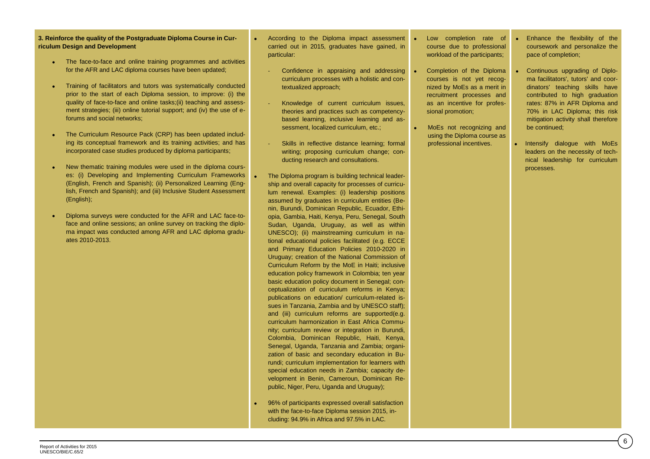**3. Reinforce the quality of the Postgraduate Diploma Course in Curriculum Design and Development** 

- The face-to-face and online training programmes and activities for the AFR and LAC diploma courses have been updated;
- Training of facilitators and tutors was systematically conducted prior to the start of each Diploma session, to improve: (i) the quality of face-to-face and online tasks;(ii) teaching and assessment strategies; (iii) online tutorial support; and (iv) the use of eforums and social networks;
- The Curriculum Resource Pack (CRP) has been updated including its conceptual framework and its training activities; and has incorporated case studies produced by diploma participants;
- New thematic training modules were used in the diploma courses: (i) Developing and Implementing Curriculum Frameworks (English, French and Spanish); (ii) Personalized Learning (English, French and Spanish); and (iii) Inclusive Student Assessment (English);
- Diploma surveys were conducted for the AFR and LAC face-toface and online sessions; an online survey on tracking the diploma impact was conducted among AFR and LAC diploma graduates 2010-2013.
- According to the Diploma impact assessment carried out in 2015, graduates have gained, in particular:
	- Confidence in appraising and addressing curriculum processes with a holistic and contextualized approach;
	- Knowledge of current curriculum issues, theories and practices such as competencybased learning, inclusive learning and assessment, localized curriculum, etc.;
- Skills in reflective distance learning; formal writing: proposing curriculum change; conducting research and consultations.
- The Diploma program is building technical leadership and overall capacity for processes of curriculum renewal. Examples: (i) leadership positions assumed by graduates in curriculum entities (Benin, Burundi, Dominican Republic, Ecuador, Ethiopia, Gambia, Haiti, Kenya, Peru, Senegal, South Sudan, Uganda, Uruguay, as well as within UNESCO); (ii) mainstreaming curriculum in national educational policies facilitated (e.g. ECCE and Primary Education Policies 2010-2020 in Uruguay; creation of the National Commission of Curriculum Reform by the MoE in Haiti; inclusive education policy framework in Colombia; ten year basic education policy document in Senegal; conceptualization of curriculum reforms in Kenya; publications on education/ curriculum-related issues in Tanzania, Zambia and by UNESCO staff); and (iii) curriculum reforms are supported(e.g. curriculum harmonization in East Africa Community; curriculum review or integration in Burundi, Colombia, Dominican Republic, Haiti, Kenya, Senegal, Uganda, Tanzania and Zambia; organization of basic and secondary education in Burundi; curriculum implementation for learners with special education needs in Zambia; capacity development in Benin, Cameroun, Dominican Republic, Niger, Peru, Uganda and Uruguay);
- 96% of participants expressed overall satisfaction with the face-to-face Diploma session 2015, including: 94.9% in Africa and 97.5% in LAC.
- Low completion rate of course due to professional workload of the participants;
- Completion of the Diploma courses is not yet recognized by MoEs as a merit in recruitment processes and as an incentive for professional promotion;
- MoEs not recognizing and using the Diploma course as professional incentives.
- **•** Enhance the flexibility of the coursework and personalize the pace of completion;
- Continuous upgrading of Diploma facilitators', tutors' and coordinators' teaching skills have contributed to high graduation rates: 87% in AFR Diploma and 70% in LAC Diploma; this risk mitigation activity shall therefore be continued;
- **Intensify dialogue with MoEs** leaders on the necessity of technical leadership for curriculum processes.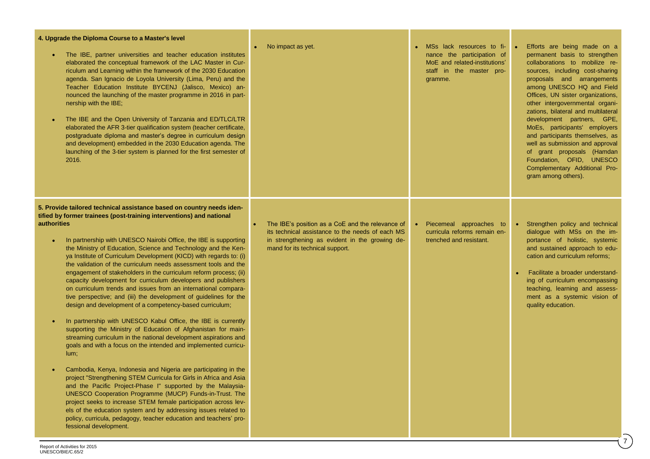| 4. Upgrade the Diploma Course to a Master's level<br>The IBE, partner universities and teacher education institutes<br>$\bullet$<br>elaborated the conceptual framework of the LAC Master in Cur-<br>riculum and Learning within the framework of the 2030 Education<br>agenda. San Ignacio de Loyola University (Lima, Peru) and the<br>Teacher Education Institute BYCENJ (Jalisco, Mexico) an-<br>nounced the launching of the master programme in 2016 in part-<br>nership with the IBE;<br>The IBE and the Open University of Tanzania and ED/TLC/LTR<br>$\bullet$<br>elaborated the AFR 3-tier qualification system (teacher certificate,<br>postgraduate diploma and master's degree in curriculum design<br>and development) embedded in the 2030 Education agenda. The<br>launching of the 3-tier system is planned for the first semester of<br>2016.                                                                                                                                                                                                                                                                                                                                                                                                                                                                                                                                                                                                                                                                                                                                                                | No impact as yet.                                                                                                                                                                         | MSs lack resources to fi-<br>nance the participation of<br>MoE and related-institutions'<br>staff in the master pro-<br>gramme. | Efforts are being made on a<br>permanent basis to strengthen<br>collaborations to mobilize re-<br>sources, including cost-sharing<br>proposals and arrangements<br>among UNESCO HQ and Field<br>Offices, UN sister organizations,<br>other intergovernmental organi-<br>zations, bilateral and multilateral<br>development partners, GPE,<br>MoEs, participants' employers<br>and participants themselves, as<br>well as submission and approval<br>of grant proposals (Hamdan<br>Foundation, OFID, UNESCO<br>Complementary Additional Pro-<br>gram among others). |
|--------------------------------------------------------------------------------------------------------------------------------------------------------------------------------------------------------------------------------------------------------------------------------------------------------------------------------------------------------------------------------------------------------------------------------------------------------------------------------------------------------------------------------------------------------------------------------------------------------------------------------------------------------------------------------------------------------------------------------------------------------------------------------------------------------------------------------------------------------------------------------------------------------------------------------------------------------------------------------------------------------------------------------------------------------------------------------------------------------------------------------------------------------------------------------------------------------------------------------------------------------------------------------------------------------------------------------------------------------------------------------------------------------------------------------------------------------------------------------------------------------------------------------------------------------------------------------------------------------------------------------|-------------------------------------------------------------------------------------------------------------------------------------------------------------------------------------------|---------------------------------------------------------------------------------------------------------------------------------|--------------------------------------------------------------------------------------------------------------------------------------------------------------------------------------------------------------------------------------------------------------------------------------------------------------------------------------------------------------------------------------------------------------------------------------------------------------------------------------------------------------------------------------------------------------------|
| 5. Provide tailored technical assistance based on country needs iden-<br>tified by former trainees (post-training interventions) and national<br><b>authorities</b><br>In partnership with UNESCO Nairobi Office, the IBE is supporting<br>$\bullet$<br>the Ministry of Education, Science and Technology and the Ken-<br>ya Institute of Curriculum Development (KICD) with regards to: (i)<br>the validation of the curriculum needs assessment tools and the<br>engagement of stakeholders in the curriculum reform process; (ii)<br>capacity development for curriculum developers and publishers<br>on curriculum trends and issues from an international compara-<br>tive perspective; and (iii) the development of guidelines for the<br>design and development of a competency-based curriculum;<br>In partnership with UNESCO Kabul Office, the IBE is currently<br>$\bullet$<br>supporting the Ministry of Education of Afghanistan for main-<br>streaming curriculum in the national development aspirations and<br>goals and with a focus on the intended and implemented curricu-<br>$lum$ ;<br>Cambodia, Kenya, Indonesia and Nigeria are participating in the<br>$\bullet$<br>project "Strengthening STEM Curricula for Girls in Africa and Asia<br>and the Pacific Project-Phase I" supported by the Malaysia-<br>UNESCO Cooperation Programme (MUCP) Funds-in-Trust. The<br>project seeks to increase STEM female participation across lev-<br>els of the education system and by addressing issues related to<br>policy, curricula, pedagogy, teacher education and teachers' pro-<br>fessional development. | The IBE's position as a CoE and the relevance of<br>its technical assistance to the needs of each MS<br>in strengthening as evident in the growing de-<br>mand for its technical support. | Piecemeal approaches to<br>curricula reforms remain en-<br>trenched and resistant.                                              | • Strengthen policy and technical<br>dialogue with MSs on the im-<br>portance of holistic, systemic<br>and sustained approach to edu-<br>cation and curriculum reforms;<br>Facilitate a broader understand-<br>ing of curriculum encompassing<br>teaching, learning and assess-<br>ment as a systemic vision of<br>quality education.<br>$\mathbf{7}$                                                                                                                                                                                                              |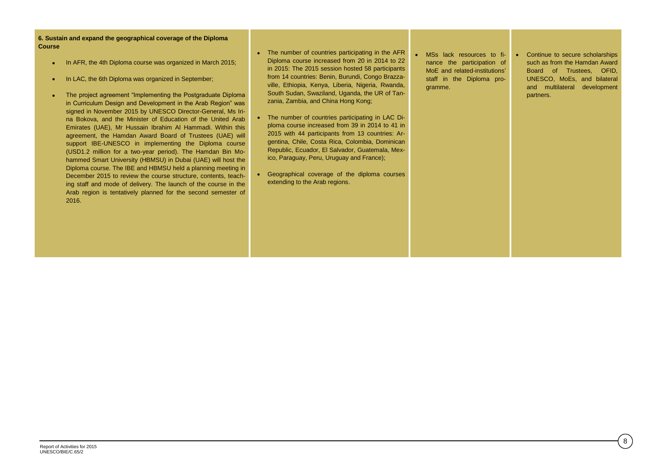- In AFR, the 4th Diploma course was organized in March 2015;
- In LAC, the 6th Diploma was organized in September;
- The project agreement "Implementing the Postgraduate Diploma in Curriculum Design and Development in the Arab Region" was signed in November 2015 by UNESCO Director-General, Ms Irina Bokova, and the Minister of Education of the United Arab Emirates (UAE), Mr Hussain Ibrahim Al Hammadi. Within this agreement, the Hamdan Award Board of Trustees (UAE) will support IBE-UNESCO in implementing the Diploma course (USD1.2 million for a two-year period). The Hamdan Bin Mohammed Smart University (HBMSU) in Dubai (UAE) will host the Diploma course. The IBE and HBMSU held a planning meeting in December 2015 to review the course structure, contents, teaching staff and mode of delivery. The launch of the course in the Arab region is tentatively planned for the second semester of 2016.
- The number of countries participating in the AFR Diploma course increased from 20 in 2014 to 22 in 2015: The 2015 session hosted 58 participants from 14 countries: Benin, Burundi, Congo Brazzaville, Ethiopia, Kenya, Liberia, Nigeria, Rwanda, South Sudan, Swaziland, Uganda, the UR of Tanzania, Zambia, and China Hong Kong;
- The number of countries participating in LAC Diploma course increased from 39 in 2014 to 41 in 2015 with 44 participants from 13 countries: Argentina, Chile, Costa Rica, Colombia, Dominican Republic, Ecuador, El Salvador, Guatemala, Mexico, Paraguay, Peru, Uruguay and France);
- Geographical coverage of the diploma courses extending to the Arab regions.
- MSs lack resources to finance the participation of MoE and related-institutions' staff in the Diploma programme.
- Continue to secure scholarships such as from the Hamdan Award Board of Trustees, OFID, UNESCO, MoEs, and bilateral and multilateral development partners.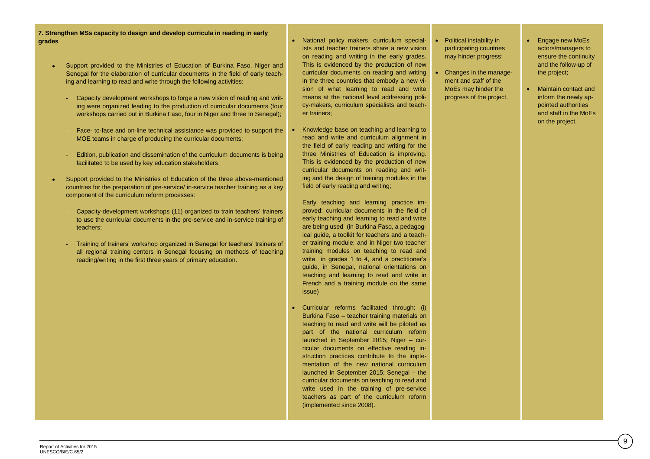**7. Strengthen MSs capacity to design and develop curricula in reading in early grades**

- Support provided to the Ministries of Education of Burkina Faso, Niger and Senegal for the elaboration of curricular documents in the field of early teaching and learning to read and write through the following activities:
	- Capacity development workshops to forge a new vision of reading and writing were organized leading to the production of curricular documents (four workshops carried out in Burkina Faso, four in Niger and three In Senegal);
	- Face- to-face and on-line technical assistance was provided to support the MOE teams in charge of producing the curricular documents:
	- Edition, publication and dissemination of the curriculum documents is being facilitated to be used by key education stakeholders.
- Support provided to the Ministries of Education of the three above-mentioned countries for the preparation of pre-service/ in-service teacher training as a key component of the curriculum reform processes:
	- Capacity-development workshops (11) organized to train teachers' trainers to use the curricular documents in the pre-service and in-service training of teachers;
	- Training of trainers' workshop organized in Senegal for teachers' trainers of all regional training centers in Senegal focusing on methods of teaching reading/writing in the first three years of primary education.
- National policy makers, curriculum specialists and teacher trainers share a new vision on reading and writing in the early grades. This is evidenced by the production of new curricular documents on reading and writing in the three countries that embody a new vision of what learning to read and write means at the national level addressing policy-makers, curriculum specialists and teacher trainers;
- Knowledge base on teaching and learning to read and write and curriculum alignment in the field of early reading and writing for the three Ministries of Education is improving. This is evidenced by the production of new curricular documents on reading and writing and the design of training modules in the field of early reading and writing;

Early teaching and learning practice improved: curricular documents in the field of early teaching and learning to read and write are being used (in Burkina Faso, a pedagogical guide, a toolkit for teachers and a teacher training module; and in Niger two teacher training modules on teaching to read and write in grades 1 to 4, and a practitioner's guide, in Senegal, national orientations on teaching and learning to read and write in French and a training module on the same issue)

 Curricular reforms facilitated through: (i) Burkina Faso – teacher training materials on teaching to read and write will be piloted as part of the national curriculum reform launched in September 2015; Niger – curricular documents on effective reading instruction practices contribute to the implementation of the new national curriculum launched in September 2015; Senegal – the curricular documents on teaching to read and write used in the training of pre-service teachers as part of the curriculum reform (implemented since 2008).

- Political instability in participating countries may hinder progress;
- Changes in the management and staff of the MoEs may hinder the progress of the project.
- Engage new MoEs actors/managers to ensure the continuity and the follow-up of the project;
- Maintain contact and inform the newly appointed authorities and staff in the MoEs on the project.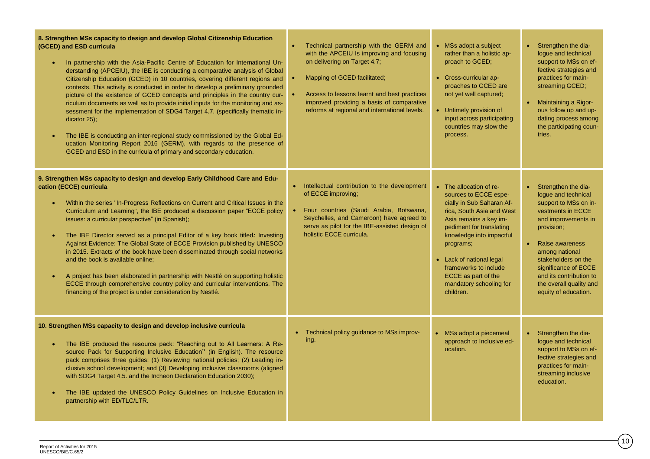| 8. Strengthen MSs capacity to design and develop Global Citizenship Education<br>(GCED) and ESD curricula<br>In partnership with the Asia-Pacific Centre of Education for International Un-<br>derstanding (APCEIU), the IBE is conducting a comparative analysis of Global<br>Citizenship Education (GCED) in 10 countries, covering different regions and<br>contexts. This activity is conducted in order to develop a preliminary grounded<br>picture of the existence of GCED concepts and principles in the country cur-<br>riculum documents as well as to provide initial inputs for the monitoring and as-<br>sessment for the implementation of SDG4 Target 4.7. (specifically thematic in-<br>dicator 25);<br>The IBE is conducting an inter-regional study commissioned by the Global Ed-<br>ucation Monitoring Report 2016 (GERM), with regards to the presence of<br>GCED and ESD in the curricula of primary and secondary education. | Technical partnership with the GERM and<br>with the APCEIU Is improving and focusing<br>on delivering on Target 4.7;<br>Mapping of GCED facilitated;<br>$\bullet$<br>Access to lessons learnt and best practices<br>improved providing a basis of comparative<br>reforms at regional and international levels. | • MSs adopt a subject<br>rather than a holistic ap-<br>proach to GCED;<br>• Cross-curricular ap-<br>proaches to GCED are<br>not yet well captured;<br>• Untimely provision of<br>input across participating<br>countries may slow the<br>process.                                                                             | Strengthen the dia-<br>loque and technical<br>support to MSs on ef-<br>fective strategies and<br>practices for main-<br>streaming GCED;<br>Maintaining a Rigor-<br>$\bullet$<br>ous follow up and up-<br>dating process among<br>the participating coun-<br>tries.                                           |
|------------------------------------------------------------------------------------------------------------------------------------------------------------------------------------------------------------------------------------------------------------------------------------------------------------------------------------------------------------------------------------------------------------------------------------------------------------------------------------------------------------------------------------------------------------------------------------------------------------------------------------------------------------------------------------------------------------------------------------------------------------------------------------------------------------------------------------------------------------------------------------------------------------------------------------------------------|----------------------------------------------------------------------------------------------------------------------------------------------------------------------------------------------------------------------------------------------------------------------------------------------------------------|-------------------------------------------------------------------------------------------------------------------------------------------------------------------------------------------------------------------------------------------------------------------------------------------------------------------------------|--------------------------------------------------------------------------------------------------------------------------------------------------------------------------------------------------------------------------------------------------------------------------------------------------------------|
| 9. Strengthen MSs capacity to design and develop Early Childhood Care and Edu-<br>cation (ECCE) curricula<br>Within the series "In-Progress Reflections on Current and Critical Issues in the<br>Curriculum and Learning", the IBE produced a discussion paper "ECCE policy<br>issues: a curricular perspective" (in Spanish);<br>The IBE Director served as a principal Editor of a key book titled: Investing<br>Against Evidence: The Global State of ECCE Provision published by UNESCO<br>in 2015. Extracts of the book have been disseminated through social networks<br>and the book is available online:<br>A project has been elaborated in partnership with Nestlé on supporting holistic<br>$\bullet$<br>ECCE through comprehensive country policy and curricular interventions. The<br>financing of the project is under consideration by Nestlé.                                                                                        | • Intellectual contribution to the development<br>of ECCE improving;<br>Four countries (Saudi Arabia, Botswana,<br>$\bullet$ .<br>Seychelles, and Cameroon) have agreed to<br>serve as pilot for the IBE-assisted design of<br>holistic ECCE curricula.                                                        | • The allocation of re-<br>sources to ECCE espe-<br>cially in Sub Saharan Af-<br>rica, South Asia and West<br>Asia remains a key im-<br>pediment for translating<br>knowledge into impactful<br>programs;<br>• Lack of national legal<br>frameworks to include<br>ECCE as part of the<br>mandatory schooling for<br>children. | Strengthen the dia-<br>$\bullet$<br>logue and technical<br>support to MSs on in-<br>vestments in ECCE<br>and improvements in<br>provision;<br>Raise awareness<br>among national<br>stakeholders on the<br>significance of ECCE<br>and its contribution to<br>the overall quality and<br>equity of education. |
| 10. Strengthen MSs capacity to design and develop inclusive curricula<br>The IBE produced the resource pack: "Reaching out to All Learners: A Re-<br>source Pack for Supporting Inclusive Education" (in English). The resource<br>pack comprises three guides: (1) Reviewing national policies; (2) Leading in-<br>clusive school development; and (3) Developing inclusive classrooms (aligned<br>with SDG4 Target 4.5. and the Incheon Declaration Education 2030);<br>The IBE updated the UNESCO Policy Guidelines on Inclusive Education in<br>partnership with ED/TLC/LTR.                                                                                                                                                                                                                                                                                                                                                                     | Technical policy guidance to MSs improv-<br>$\bullet$<br>ing.                                                                                                                                                                                                                                                  | • MSs adopt a piecemeal<br>approach to Inclusive ed-<br>ucation.                                                                                                                                                                                                                                                              | Strengthen the dia-<br>$\bullet$<br>logue and technical<br>support to MSs on ef-<br>fective strategies and<br>practices for main-<br>streaming inclusive<br>education.                                                                                                                                       |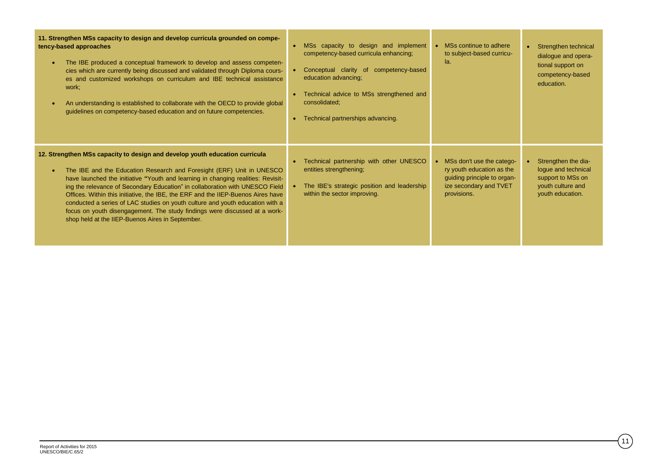| 11. Strengthen MSs capacity to design and develop curricula grounded on compe-<br>tency-based approaches<br>The IBE produced a conceptual framework to develop and assess competen-<br>$\bullet$<br>cies which are currently being discussed and validated through Diploma cours-<br>es and customized workshops on curriculum and IBE technical assistance<br>work;<br>An understanding is established to collaborate with the OECD to provide global<br>guidelines on competency-based education and on future competencies.                                                                                                               | MSs capacity to design and implement<br>competency-based curricula enhancing;<br>Conceptual clarity of competency-based<br>education advancing;<br>Technical advice to MSs strengthened and<br>consolidated;<br>Technical partnerships advancing. | • MSs continue to adhere<br>to subject-based curricu-<br>la.                                                                     | Strengthen technical<br>$\bullet$<br>dialogue and opera-<br>tional support on<br>competency-based<br>education. |
|----------------------------------------------------------------------------------------------------------------------------------------------------------------------------------------------------------------------------------------------------------------------------------------------------------------------------------------------------------------------------------------------------------------------------------------------------------------------------------------------------------------------------------------------------------------------------------------------------------------------------------------------|---------------------------------------------------------------------------------------------------------------------------------------------------------------------------------------------------------------------------------------------------|----------------------------------------------------------------------------------------------------------------------------------|-----------------------------------------------------------------------------------------------------------------|
| 12. Strengthen MSs capacity to design and develop youth education curricula<br>The IBE and the Education Research and Foresight (ERF) Unit in UNESCO<br>$\bullet$<br>have launched the initiative "Youth and learning in changing realities: Revisit-<br>ing the relevance of Secondary Education" in collaboration with UNESCO Field<br>Offices. Within this initiative, the IBE, the ERF and the IIEP-Buenos Aires have<br>conducted a series of LAC studies on youth culture and youth education with a<br>focus on youth disengagement. The study findings were discussed at a work-<br>shop held at the IIEP-Buenos Aires in September. | Technical partnership with other UNESCO<br>entities strengthening;<br>The IBE's strategic position and leadership<br>within the sector improving.                                                                                                 | • MSs don't use the catego-<br>ry youth education as the<br>guiding principle to organ-<br>ize secondary and TVET<br>provisions. | Strengthen the dia-<br>logue and technical<br>support to MSs on<br>youth culture and<br>youth education.        |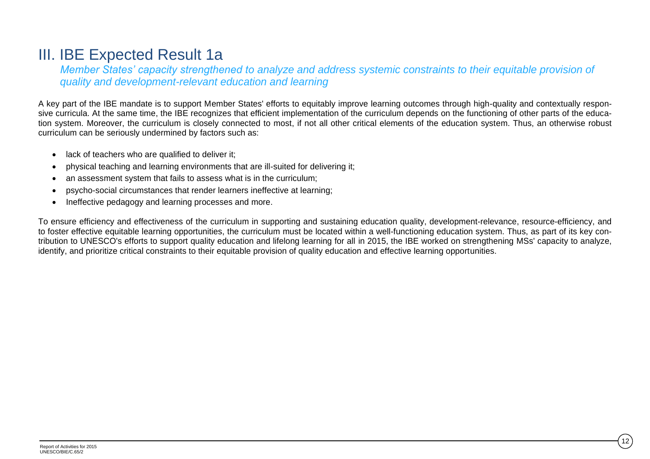## III. IBE Expected Result 1a

*Member States' capacity strengthened to analyze and address systemic constraints to their equitable provision of quality and development-relevant education and learning*

A key part of the IBE mandate is to support Member States' efforts to equitably improve learning outcomes through high-quality and contextually responsive curricula. At the same time, the IBE recognizes that efficient implementation of the curriculum depends on the functioning of other parts of the education system. Moreover, the curriculum is closely connected to most, if not all other critical elements of the education system. Thus, an otherwise robust curriculum can be seriously undermined by factors such as:

- lack of teachers who are qualified to deliver it:
- physical teaching and learning environments that are ill-suited for delivering it;
- an assessment system that fails to assess what is in the curriculum;
- psycho-social circumstances that render learners ineffective at learning;
- Ineffective pedagogy and learning processes and more.

To ensure efficiency and effectiveness of the curriculum in supporting and sustaining education quality, development-relevance, resource-efficiency, and to foster effective equitable learning opportunities, the curriculum must be located within a well-functioning education system. Thus, as part of its key contribution to UNESCO's efforts to support quality education and lifelong learning for all in 2015, the IBE worked on strengthening MSs' capacity to analyze, identify, and prioritize critical constraints to their equitable provision of quality education and effective learning opportunities.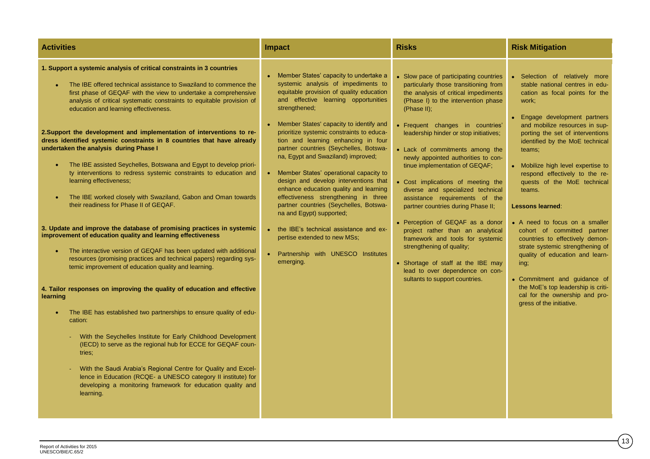| <b>Activities</b>                                                                                                                                                                                                                                                                                                                                                                                                                                                                                                                                                                                                                                                                                                                                                                                                                                                                                                                                                                                                                                                                                                                                                                                                                                                                                                                                                                                                                                                                                                                                                                                                                                                                                                                  | <b>Impact</b>                                                                                                                                                                                                                                                                                                                                                                                                                                                                                                                                                                                                                                                                                                                                                                                | <b>Risks</b>                                                                                                                                                                                                                                                                                                                                                                                                                                                                                                                                                                                                                                                                                                                                                                    | <b>Risk Mitigation</b>                                                                                                                                                                                                                                                                                                                                                                                                                                                                                                                                                                                                                                                                                                              |
|------------------------------------------------------------------------------------------------------------------------------------------------------------------------------------------------------------------------------------------------------------------------------------------------------------------------------------------------------------------------------------------------------------------------------------------------------------------------------------------------------------------------------------------------------------------------------------------------------------------------------------------------------------------------------------------------------------------------------------------------------------------------------------------------------------------------------------------------------------------------------------------------------------------------------------------------------------------------------------------------------------------------------------------------------------------------------------------------------------------------------------------------------------------------------------------------------------------------------------------------------------------------------------------------------------------------------------------------------------------------------------------------------------------------------------------------------------------------------------------------------------------------------------------------------------------------------------------------------------------------------------------------------------------------------------------------------------------------------------|----------------------------------------------------------------------------------------------------------------------------------------------------------------------------------------------------------------------------------------------------------------------------------------------------------------------------------------------------------------------------------------------------------------------------------------------------------------------------------------------------------------------------------------------------------------------------------------------------------------------------------------------------------------------------------------------------------------------------------------------------------------------------------------------|---------------------------------------------------------------------------------------------------------------------------------------------------------------------------------------------------------------------------------------------------------------------------------------------------------------------------------------------------------------------------------------------------------------------------------------------------------------------------------------------------------------------------------------------------------------------------------------------------------------------------------------------------------------------------------------------------------------------------------------------------------------------------------|-------------------------------------------------------------------------------------------------------------------------------------------------------------------------------------------------------------------------------------------------------------------------------------------------------------------------------------------------------------------------------------------------------------------------------------------------------------------------------------------------------------------------------------------------------------------------------------------------------------------------------------------------------------------------------------------------------------------------------------|
| 1. Support a systemic analysis of critical constraints in 3 countries<br>The IBE offered technical assistance to Swaziland to commence the<br>first phase of GEQAF with the view to undertake a comprehensive<br>analysis of critical systematic constraints to equitable provision of<br>education and learning effectiveness.<br>2. Support the development and implementation of interventions to re-<br>dress identified systemic constraints in 8 countries that have already<br>undertaken the analysis during Phase I<br>The IBE assisted Seychelles, Botswana and Egypt to develop priori-<br>ty interventions to redress systemic constraints to education and<br>learning effectiveness;<br>The IBE worked closely with Swaziland, Gabon and Oman towards<br>$\bullet$<br>their readiness for Phase II of GEQAF.<br>3. Update and improve the database of promising practices in systemic<br>improvement of education quality and learning effectiveness<br>The interactive version of GEQAF has been updated with additional<br>$\bullet$<br>resources (promising practices and technical papers) regarding sys-<br>temic improvement of education quality and learning.<br>4. Tailor responses on improving the quality of education and effective<br>learning<br>The IBE has established two partnerships to ensure quality of edu-<br>$\bullet$<br>cation:<br>With the Seychelles Institute for Early Childhood Development<br>(IECD) to serve as the regional hub for ECCE for GEQAF coun-<br>tries:<br>With the Saudi Arabia's Regional Centre for Quality and Excel-<br>lence in Education (RCQE- a UNESCO category II institute) for<br>developing a monitoring framework for education quality and<br>learning. | Member States' capacity to undertake a<br>systemic analysis of impediments to<br>equitable provision of quality education<br>and effective learning opportunities<br>strengthened;<br>• Member States' capacity to identify and<br>prioritize systemic constraints to educa-<br>tion and learning enhancing in four<br>partner countries (Seychelles, Botswa-<br>na, Egypt and Swaziland) improved;<br>• Member States' operational capacity to<br>design and develop interventions that<br>enhance education quality and learning<br>effectiveness strengthening in three<br>partner countries (Seychelles, Botswa-<br>na and Egypt) supported;<br>• the IBE's technical assistance and ex-<br>pertise extended to new MSs;<br>$\bullet$<br>Partnership with UNESCO Institutes<br>emerging. | • Slow pace of participating countries<br>particularly those transitioning from<br>the analysis of critical impediments<br>(Phase I) to the intervention phase<br>(Phase II);<br>• Frequent changes in countries'<br>leadership hinder or stop initiatives;<br>• Lack of commitments among the<br>newly appointed authorities to con-<br>tinue implementation of GEQAF;<br>• Cost implications of meeting the<br>diverse and specialized technical<br>assistance requirements of the<br>partner countries during Phase II;<br>• Perception of GEQAF as a donor<br>project rather than an analytical<br>framework and tools for systemic<br>strengthening of quality;<br>• Shortage of staff at the IBE may<br>lead to over dependence on con-<br>sultants to support countries. | • Selection of relatively more<br>stable national centres in edu-<br>cation as focal points for the<br>work;<br>• Engage development partners<br>and mobilize resources in sup-<br>porting the set of interventions<br>identified by the MoE technical<br>teams;<br>• Mobilize high level expertise to<br>respond effectively to the re-<br>quests of the MoE technical<br>teams.<br><b>Lessons learned:</b><br>• A need to focus on a smaller<br>cohort of committed partner<br>countries to effectively demon-<br>strate systemic strengthening of<br>quality of education and learn-<br>ing;<br>• Commitment and guidance of<br>the MoE's top leadership is criti-<br>cal for the ownership and pro-<br>gress of the initiative. |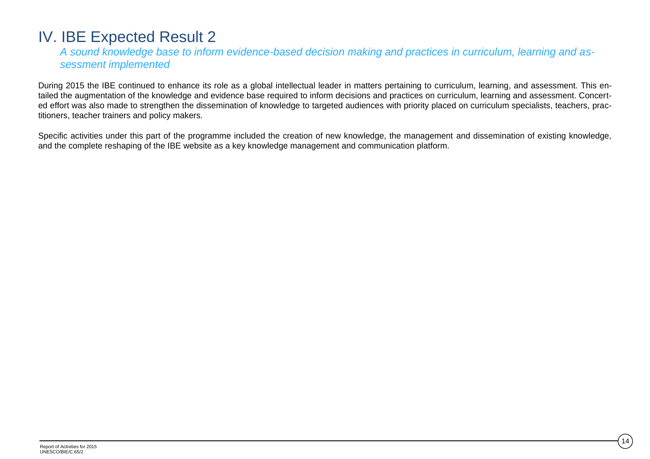## IV. IBE Expected Result 2

*A sound knowledge base to inform evidence-based decision making and practices in curriculum, learning and assessment implemented*

During 2015 the IBE continued to enhance its role as a global intellectual leader in matters pertaining to curriculum, learning, and assessment. This entailed the augmentation of the knowledge and evidence base required to inform decisions and practices on curriculum, learning and assessment. Concerted effort was also made to strengthen the dissemination of knowledge to targeted audiences with priority placed on curriculum specialists, teachers, practitioners, teacher trainers and policy makers.

Specific activities under this part of the programme included the creation of new knowledge, the management and dissemination of existing knowledge, and the complete reshaping of the IBE website as a key knowledge management and communication platform.

14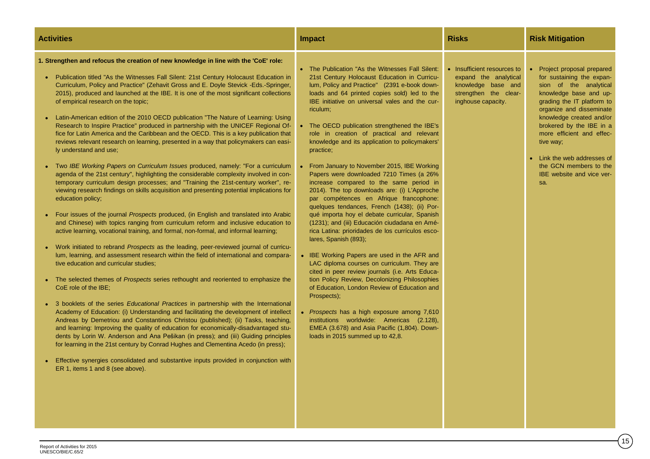| <b>Activities</b>                                                                                                                                                                                                                                                                                                                                                                                                                                                                                                                                                                                                                                                                                                                                                                                                                                                                                                                                                                                                                                                                                                                                                                                                                                                                                                                                                                                                                                                                                                                                                                                                                                                                                                                                                                                                                                                                                                                                                                                                                                                                                                                                                                                                                                                                                                                                                                                                                                                                        | <b>Impact</b>                                                                                                                                                                                                                                                                                                                                                                                                                                                                                                                                                                                                                                                                                                                                                                                                                                                                                                                                                                                                                                                                                                                                                                                                                                                                                                                                   | <b>Risks</b>                                                                                                              | <b>Risk Mitigation</b>                                                                                                                                                                                                                                                                                                                                                |
|------------------------------------------------------------------------------------------------------------------------------------------------------------------------------------------------------------------------------------------------------------------------------------------------------------------------------------------------------------------------------------------------------------------------------------------------------------------------------------------------------------------------------------------------------------------------------------------------------------------------------------------------------------------------------------------------------------------------------------------------------------------------------------------------------------------------------------------------------------------------------------------------------------------------------------------------------------------------------------------------------------------------------------------------------------------------------------------------------------------------------------------------------------------------------------------------------------------------------------------------------------------------------------------------------------------------------------------------------------------------------------------------------------------------------------------------------------------------------------------------------------------------------------------------------------------------------------------------------------------------------------------------------------------------------------------------------------------------------------------------------------------------------------------------------------------------------------------------------------------------------------------------------------------------------------------------------------------------------------------------------------------------------------------------------------------------------------------------------------------------------------------------------------------------------------------------------------------------------------------------------------------------------------------------------------------------------------------------------------------------------------------------------------------------------------------------------------------------------------------|-------------------------------------------------------------------------------------------------------------------------------------------------------------------------------------------------------------------------------------------------------------------------------------------------------------------------------------------------------------------------------------------------------------------------------------------------------------------------------------------------------------------------------------------------------------------------------------------------------------------------------------------------------------------------------------------------------------------------------------------------------------------------------------------------------------------------------------------------------------------------------------------------------------------------------------------------------------------------------------------------------------------------------------------------------------------------------------------------------------------------------------------------------------------------------------------------------------------------------------------------------------------------------------------------------------------------------------------------|---------------------------------------------------------------------------------------------------------------------------|-----------------------------------------------------------------------------------------------------------------------------------------------------------------------------------------------------------------------------------------------------------------------------------------------------------------------------------------------------------------------|
| 1. Strengthen and refocus the creation of new knowledge in line with the 'CoE' role:<br>Publication titled "As the Witnesses Fall Silent: 21st Century Holocaust Education in<br>Curriculum, Policy and Practice" (Zehavit Gross and E. Doyle Stevick -Eds.-Springer,<br>2015), produced and launched at the IBE. It is one of the most significant collections<br>of empirical research on the topic;<br>Latin-American edition of the 2010 OECD publication "The Nature of Learning: Using<br>Research to Inspire Practice" produced in partnership with the UNICEF Regional Of-<br>fice for Latin America and the Caribbean and the OECD. This is a key publication that<br>reviews relevant research on learning, presented in a way that policymakers can easi-<br>ly understand and use;<br>Two IBE Working Papers on Curriculum Issues produced, namely: "For a curriculum<br>agenda of the 21st century", highlighting the considerable complexity involved in con-<br>temporary curriculum design processes; and "Training the 21st-century worker", re-<br>viewing research findings on skills acquisition and presenting potential implications for<br>education policy;<br>Four issues of the journal <i>Prospects</i> produced, (in English and translated into Arabic<br>and Chinese) with topics ranging from curriculum reform and inclusive education to<br>active learning, vocational training, and formal, non-formal, and informal learning;<br>Work initiated to rebrand Prospects as the leading, peer-reviewed journal of curricu-<br>lum, learning, and assessment research within the field of international and compara-<br>tive education and curricular studies;<br>The selected themes of <i>Prospects</i> series rethought and reoriented to emphasize the<br>CoE role of the IBE;<br>3 booklets of the series Educational Practices in partnership with the International<br>Academy of Education: (i) Understanding and facilitating the development of intellect<br>Andreas by Demetriou and Constantinos Christou (published); (ii) Tasks, teaching,<br>and learning: Improving the quality of education for economically-disadvantaged stu-<br>dents by Lorin W. Anderson and Ana Pešikan (in press); and (iii) Guiding principles<br>for learning in the 21st century by Conrad Hughes and Clementina Acedo (in press);<br>Effective synergies consolidated and substantive inputs provided in conjunction with<br>ER 1, items 1 and 8 (see above). | • The Publication "As the Witnesses Fall Silent:<br>21st Century Holocaust Education in Curricu-<br>lum, Policy and Practice" (2391 e-book down-<br>loads and 64 printed copies sold) led to the<br>IBE initiative on universal vales and the cur-<br>riculum;<br>• The OECD publication strengthened the IBE's<br>role in creation of practical and relevant<br>knowledge and its application to policymakers'<br>practice;<br>• From January to November 2015, IBE Working<br>Papers were downloaded 7210 Times (a 26%<br>increase compared to the same period in<br>2014). The top downloads are: (i) L'Approche<br>par compétences en Afrique francophone:<br>quelques tendances, French (1438); (ii) Por-<br>qué importa hoy el debate curricular, Spanish<br>(1231); and (iii) Educación ciudadana en Amé-<br>rica Latina: prioridades de los currículos esco-<br>lares, Spanish (893);<br>• IBE Working Papers are used in the AFR and<br>LAC diploma courses on curriculum. They are<br>cited in peer review journals (i.e. Arts Educa-<br>tion Policy Review, Decolonizing Philosophies<br>of Education, London Review of Education and<br>Prospects);<br>• Prospects has a high exposure among 7,610<br>institutions worldwide: Americas (2.128),<br>EMEA (3.678) and Asia Pacific (1,804). Down-<br>loads in 2015 summed up to 42,8. | • Insufficient resources to<br>expand the analytical<br>knowledge base and<br>strengthen the clear-<br>inghouse capacity. | • Project proposal prepared<br>for sustaining the expan-<br>sion of the analytical<br>knowledge base and up-<br>grading the IT platform to<br>organize and disseminate<br>knowledge created and/or<br>brokered by the IBE in a<br>more efficient and effec-<br>tive way;<br>• Link the web addresses of<br>the GCN members to the<br>IBE website and vice ver-<br>sa. |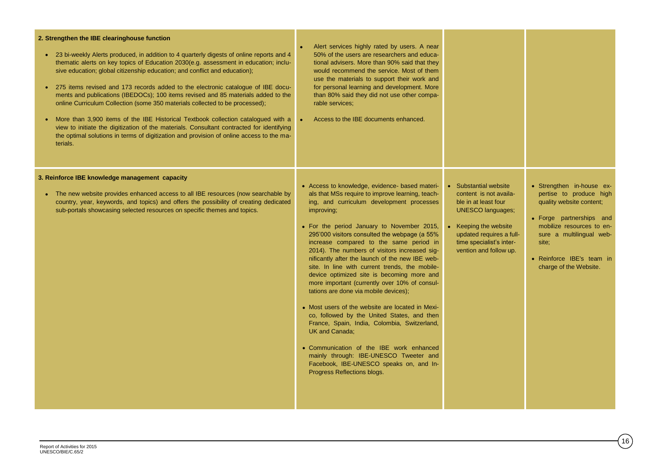| 2. Strengthen the IBE clearinghouse function<br>• 23 bi-weekly Alerts produced, in addition to 4 quarterly digests of online reports and 4<br>thematic alerts on key topics of Education 2030(e.g. assessment in education; inclu-<br>sive education; global citizenship education; and conflict and education);<br>• 275 items revised and 173 records added to the electronic catalogue of IBE docu-<br>ments and publications (IBEDOCs); 100 items revised and 85 materials added to the<br>online Curriculum Collection (some 350 materials collected to be processed);<br>More than 3,900 items of the IBE Historical Textbook collection catalogued with a<br>view to initiate the digitization of the materials. Consultant contracted for identifying<br>the optimal solutions in terms of digitization and provision of online access to the ma-<br>terials. | Alert services highly rated by users. A near<br>50% of the users are researchers and educa-<br>tional advisers. More than 90% said that they<br>would recommend the service. Most of them<br>use the materials to support their work and<br>for personal learning and development. More<br>than 80% said they did not use other compa-<br>rable services;<br>Access to the IBE documents enhanced.                                                                                                                                                                                                                                                                                                                                                                                                                                                                                                                                                |                                                                                                                                                                                                                |                                                                                                                                                                                                                                       |
|-----------------------------------------------------------------------------------------------------------------------------------------------------------------------------------------------------------------------------------------------------------------------------------------------------------------------------------------------------------------------------------------------------------------------------------------------------------------------------------------------------------------------------------------------------------------------------------------------------------------------------------------------------------------------------------------------------------------------------------------------------------------------------------------------------------------------------------------------------------------------|---------------------------------------------------------------------------------------------------------------------------------------------------------------------------------------------------------------------------------------------------------------------------------------------------------------------------------------------------------------------------------------------------------------------------------------------------------------------------------------------------------------------------------------------------------------------------------------------------------------------------------------------------------------------------------------------------------------------------------------------------------------------------------------------------------------------------------------------------------------------------------------------------------------------------------------------------|----------------------------------------------------------------------------------------------------------------------------------------------------------------------------------------------------------------|---------------------------------------------------------------------------------------------------------------------------------------------------------------------------------------------------------------------------------------|
| 3. Reinforce IBE knowledge management capacity<br>• The new website provides enhanced access to all IBE resources (now searchable by<br>country, year, keywords, and topics) and offers the possibility of creating dedicated<br>sub-portals showcasing selected resources on specific themes and topics.                                                                                                                                                                                                                                                                                                                                                                                                                                                                                                                                                             | • Access to knowledge, evidence- based materi-<br>als that MSs require to improve learning, teach-<br>ing, and curriculum development processes<br>improving;<br>• For the period January to November 2015,<br>295'000 visitors consulted the webpage (a 55%<br>increase compared to the same period in<br>2014). The numbers of visitors increased sig-<br>nificantly after the launch of the new IBE web-<br>site. In line with current trends, the mobile-<br>device optimized site is becoming more and<br>more important (currently over 10% of consul-<br>tations are done via mobile devices);<br>• Most users of the website are located in Mexi-<br>co, followed by the United States, and then<br>France, Spain, India, Colombia, Switzerland,<br><b>UK and Canada:</b><br>• Communication of the IBE work enhanced<br>mainly through: IBE-UNESCO Tweeter and<br>Facebook, IBE-UNESCO speaks on, and In-<br>Progress Reflections blogs. | • Substantial website<br>content is not availa-<br>ble in at least four<br><b>UNESCO languages;</b><br>• Keeping the website<br>updated requires a full-<br>time specialist's inter-<br>vention and follow up. | • Strengthen in-house ex-<br>pertise to produce high<br>quality website content;<br>• Forge partnerships and<br>mobilize resources to en-<br>sure a multilingual web-<br>site:<br>• Reinforce IBE's team in<br>charge of the Website. |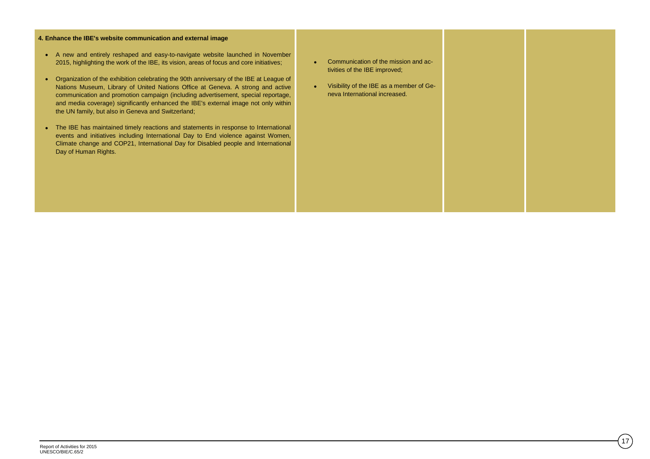### **4. Enhance the IBE's website communication and external image**

- A new and entirely reshaped and easy-to-navigate website launched in November 2015, highlighting the work of the IBE, its vision, areas of focus and core initiatives;
- Organization of the exhibition celebrating the 90th anniversary of the IBE at League of Nations Museum, Library of United Nations Office at Geneva. A strong and active communication and promotion campaign (including advertisement, special reportage, and media coverage) significantly enhanced the IBE's external image not only within the UN family, but also in Geneva and Switzerland;
- The IBE has maintained timely reactions and statements in response to International events and initiatives including International Day to End violence against Women, Climate change and COP21, International Day for Disabled people and International Day of Human Rights.
- Communication of the mission and activities of the IBE improved;
- Visibility of the IBE as a member of Geneva International increased.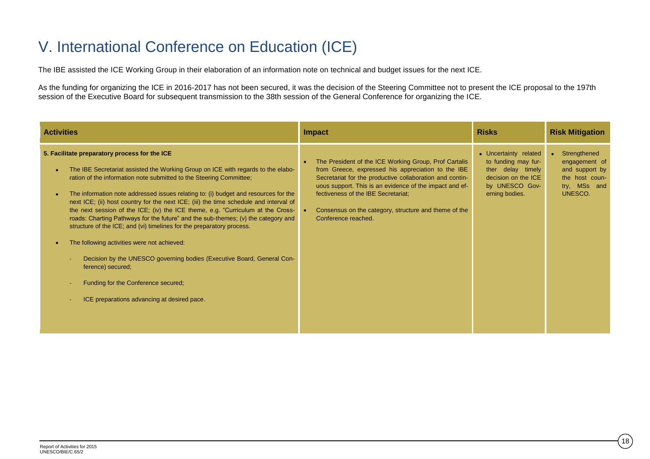## V. International Conference on Education (ICE)

The IBE assisted the ICE Working Group in their elaboration of an information note on technical and budget issues for the next ICE.

As the funding for organizing the ICE in 2016-2017 has not been secured, it was the decision of the Steering Committee not to present the ICE proposal to the 197th session of the Executive Board for subsequent transmission to the 38th session of the General Conference for organizing the ICE.

| <b>Activities</b>                                                                                                                                                                                                                                                                                                                                                                                                                                                                                                                                                                                                                                                                                                                                                                                                                                                             | <b>Impact</b>                                                                                                                                                                                                                                                                                                                                             | <b>Risks</b>                                                                                                                 | <b>Risk Mitigation</b>                                                                                    |
|-------------------------------------------------------------------------------------------------------------------------------------------------------------------------------------------------------------------------------------------------------------------------------------------------------------------------------------------------------------------------------------------------------------------------------------------------------------------------------------------------------------------------------------------------------------------------------------------------------------------------------------------------------------------------------------------------------------------------------------------------------------------------------------------------------------------------------------------------------------------------------|-----------------------------------------------------------------------------------------------------------------------------------------------------------------------------------------------------------------------------------------------------------------------------------------------------------------------------------------------------------|------------------------------------------------------------------------------------------------------------------------------|-----------------------------------------------------------------------------------------------------------|
| 5. Facilitate preparatory process for the ICE<br>The IBE Secretariat assisted the Working Group on ICE with regards to the elabo-<br>ration of the information note submitted to the Steering Committee;<br>The information note addressed issues relating to: (i) budget and resources for the<br>next ICE; (ii) host country for the next ICE; (iii) the time schedule and interval of<br>the next session of the ICE; (iv) the ICE theme, e.g. "Curriculum at the Cross-<br>roads: Charting Pathways for the future" and the sub-themes; (v) the category and<br>structure of the ICE; and (vi) timelines for the preparatory process.<br>The following activities were not achieved:<br>Decision by the UNESCO governing bodies (Executive Board, General Con-<br>ference) secured;<br>Funding for the Conference secured;<br>ICE preparations advancing at desired pace. | The President of the ICE Working Group, Prof Cartalis<br>from Greece, expressed his appreciation to the IBE<br>Secretariat for the productive collaboration and contin-<br>uous support. This is an evidence of the impact and ef-<br>fectiveness of the IBE Secretariat;<br>Consensus on the category, structure and theme of the<br>Conference reached. | • Uncertainty related<br>to funding may fur-<br>ther delay timely<br>decision on the ICE<br>by UNESCO Gov-<br>erning bodies. | Strengthened<br>$\bullet$<br>engagement of<br>and support by<br>the host coun-<br>try, MSs and<br>UNESCO. |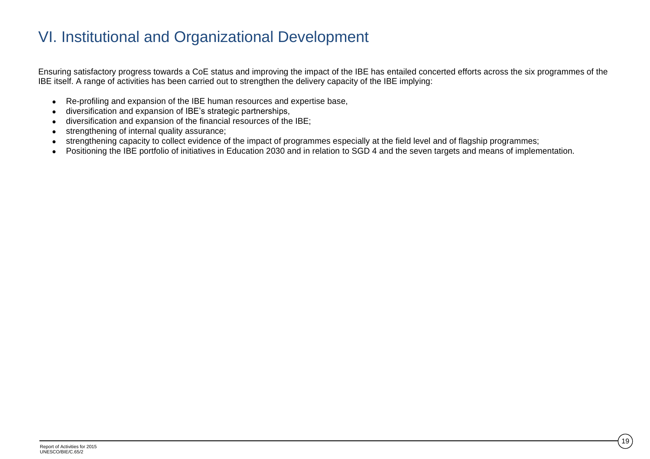## VI. Institutional and Organizational Development

Ensuring satisfactory progress towards a CoE status and improving the impact of the IBE has entailed concerted efforts across the six programmes of the IBE itself. A range of activities has been carried out to strengthen the delivery capacity of the IBE implying:

- Re-profiling and expansion of the IBE human resources and expertise base,
- diversification and expansion of IBE's strategic partnerships,
- diversification and expansion of the financial resources of the IBE;
- strengthening of internal quality assurance;
- strengthening capacity to collect evidence of the impact of programmes especially at the field level and of flagship programmes;
- Positioning the IBE portfolio of initiatives in Education 2030 and in relation to SGD 4 and the seven targets and means of implementation.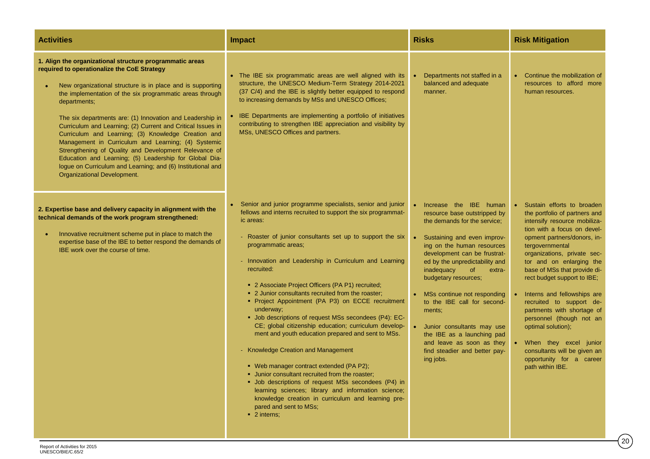| <b>Activities</b>                                                                                                                                                                                                                                                                                                                                                                                                                                                                                                                                                                                                                                                                                            | <b>Impact</b>                                                                                                                                                                                                                                                                                                                                                                                                                                                                                                                                                                                                                                                                                                                                                                                                                                                                                                                                                                                                               | <b>Risks</b>                                                                                                                                                                                                                                                                                                                                                                                                                                                                                          | <b>Risk Mitigation</b>                                                                                                                                                                                                                                                                                                                                                                                                                                                                                                                                                   |
|--------------------------------------------------------------------------------------------------------------------------------------------------------------------------------------------------------------------------------------------------------------------------------------------------------------------------------------------------------------------------------------------------------------------------------------------------------------------------------------------------------------------------------------------------------------------------------------------------------------------------------------------------------------------------------------------------------------|-----------------------------------------------------------------------------------------------------------------------------------------------------------------------------------------------------------------------------------------------------------------------------------------------------------------------------------------------------------------------------------------------------------------------------------------------------------------------------------------------------------------------------------------------------------------------------------------------------------------------------------------------------------------------------------------------------------------------------------------------------------------------------------------------------------------------------------------------------------------------------------------------------------------------------------------------------------------------------------------------------------------------------|-------------------------------------------------------------------------------------------------------------------------------------------------------------------------------------------------------------------------------------------------------------------------------------------------------------------------------------------------------------------------------------------------------------------------------------------------------------------------------------------------------|--------------------------------------------------------------------------------------------------------------------------------------------------------------------------------------------------------------------------------------------------------------------------------------------------------------------------------------------------------------------------------------------------------------------------------------------------------------------------------------------------------------------------------------------------------------------------|
| 1. Align the organizational structure programmatic areas<br>required to operationalize the CoE Strategy<br>New organizational structure is in place and is supporting<br>the implementation of the six programmatic areas through<br>departments;<br>The six departments are: (1) Innovation and Leadership in<br>Curriculum and Learning; (2) Current and Critical Issues in<br>Curriculum and Learning; (3) Knowledge Creation and<br>Management in Curriculum and Learning; (4) Systemic<br>Strengthening of Quality and Development Relevance of<br>Education and Learning; (5) Leadership for Global Dia-<br>logue on Curriculum and Learning; and (6) Institutional and<br>Organizational Development. | • The IBE six programmatic areas are well aligned with its<br>structure, the UNESCO Medium-Term Strategy 2014-2021<br>(37 C/4) and the IBE is slightly better equipped to respond<br>to increasing demands by MSs and UNESCO Offices;<br>IBE Departments are implementing a portfolio of initiatives<br>contributing to strengthen IBE appreciation and visibility by<br>MSs, UNESCO Offices and partners.                                                                                                                                                                                                                                                                                                                                                                                                                                                                                                                                                                                                                  | Departments not staffed in a<br>balanced and adequate<br>manner.                                                                                                                                                                                                                                                                                                                                                                                                                                      | • Continue the mobilization of<br>resources to afford more<br>human resources.                                                                                                                                                                                                                                                                                                                                                                                                                                                                                           |
| 2. Expertise base and delivery capacity in alignment with the<br>technical demands of the work program strengthened:<br>Innovative recruitment scheme put in place to match the<br>expertise base of the IBE to better respond the demands of<br>IBE work over the course of time.                                                                                                                                                                                                                                                                                                                                                                                                                           | • Senior and junior programme specialists, senior and junior<br>fellows and interns recruited to support the six programmat-<br>ic areas:<br>- Roaster of junior consultants set up to support the six<br>programmatic areas;<br>- Innovation and Leadership in Curriculum and Learning<br>recruited:<br>• 2 Associate Project Officers (PA P1) recruited;<br>• 2 Junior consultants recruited from the roaster;<br>· Project Appointment (PA P3) on ECCE recruitment<br>underway;<br>• Job descriptions of request MSs secondees (P4): EC-<br>CE; global citizenship education; curriculum develop-<br>ment and youth education prepared and sent to MSs.<br>- Knowledge Creation and Management<br>• Web manager contract extended (PA P2);<br>• Junior consultant recruited from the roaster;<br>• Job descriptions of request MSs secondees (P4) in<br>learning sciences; library and information science;<br>knowledge creation in curriculum and learning pre-<br>pared and sent to MSs;<br>$\blacksquare$ 2 interns; | Increase the IBE human<br>resource base outstripped by<br>the demands for the service;<br>Sustaining and even improv-<br>ing on the human resources<br>development can be frustrat-<br>ed by the unpredictability and<br>inadequacy<br><sub>of</sub><br>extra-<br>budgetary resources;<br>MSs continue not responding<br>to the IBE call for second-<br>ments;<br>Junior consultants may use<br>the IBE as a launching pad<br>and leave as soon as they<br>find steadier and better pay-<br>ing jobs. | Sustain efforts to broaden<br>$\bullet$<br>the portfolio of partners and<br>intensify resource mobiliza-<br>tion with a focus on devel-<br>opment partners/donors, in-<br>tergovernmental<br>organizations, private sec-<br>tor and on enlarging the<br>base of MSs that provide di-<br>rect budget support to IBE;<br>Interns and fellowships are<br>recruited to support de-<br>partments with shortage of<br>personnel (though not an<br>optimal solution);<br>When they excel junior<br>consultants will be given an<br>opportunity for a career<br>path within IBE. |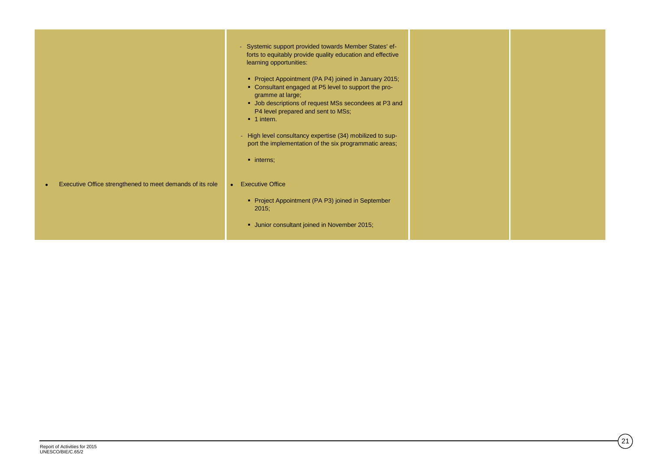|                                                                        | - Systemic support provided towards Member States' ef-<br>forts to equitably provide quality education and effective<br>learning opportunities:<br>Project Appointment (PA P4) joined in January 2015;<br>• Consultant engaged at P5 level to support the pro-<br>gramme at large;<br>• Job descriptions of request MSs secondees at P3 and<br>P4 level prepared and sent to MSs;<br>$\blacksquare$ 1 intern.<br>- High level consultancy expertise (34) mobilized to sup-<br>port the implementation of the six programmatic areas;<br>$\blacksquare$ interns; |  |
|------------------------------------------------------------------------|-----------------------------------------------------------------------------------------------------------------------------------------------------------------------------------------------------------------------------------------------------------------------------------------------------------------------------------------------------------------------------------------------------------------------------------------------------------------------------------------------------------------------------------------------------------------|--|
| Executive Office strengthened to meet demands of its role<br>$\bullet$ | <b>Executive Office</b><br>$\bullet$<br>• Project Appointment (PA P3) joined in September<br>2015;<br>• Junior consultant joined in November 2015;                                                                                                                                                                                                                                                                                                                                                                                                              |  |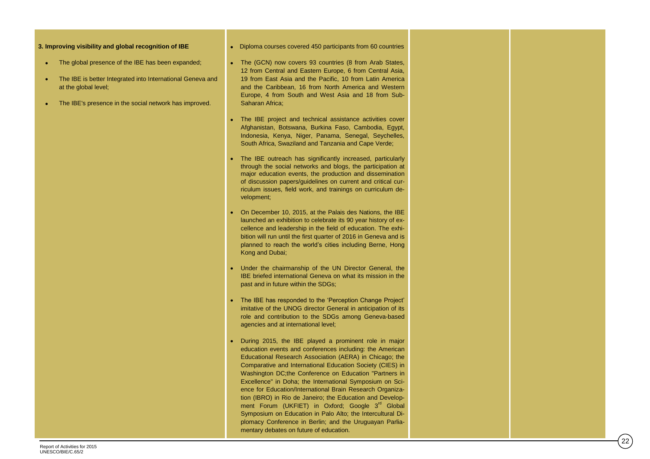#### **3. Improving visibility and global recognition of IBE**

- The global presence of the IBE has been expanded;
- The IBE is better Integrated into International Geneva and at the global level;
- The IBE's presence in the social network has improved .

• Diploma courses covered 450 participants from 60 countries

- The (GCN) now covers 93 countries (8 from Arab States, 12 from Central and Eastern Europe, 6 from Central Asia, 19 from East Asia and the Pacific, 10 from Latin America and the Caribbean, 16 from North America and Western Europe, 4 from South and West Asia and 18 from Sub - Saharan Africa ;
- The IBE project and technical assistance activities cover Afghanistan, Botswana, Burkina Faso, Cambodia, Egypt, Indonesia, Kenya, Niger, Panama, Senegal, Seychelles, South Africa, Swaziland and Tanzania and Cape Verde;
- The IBE outreach has significantly increased, particularly through the social networks and blogs, the participation at major education events, the production and dissemination of discussion papers/guidelines on current and critical curriculum issues, field work, and trainings on curriculum development;
- On December 10, 2015, at the Palais des Nations, the IBE launched an exhibition to celebrate its 90 year history of excellence and leadership in the field of education. The exhi bition will run until the first quarter of 2016 in Geneva and is planned to reach the world's cities including Berne, Hong Kong and Dubai ;
- Under the chairmanship of the UN Director General, the IBE briefed international Geneva on what its mission in the past and in future within the SDGs;
- The IBE has responded to the 'Perception Change Project' imitative of the UNOG director General in anticipation of its role and contribution to the SDG s among Geneva -based agencies and at international level;
- During 2015, the IBE played a prominent role in major education events and conferences including: the American Educational Research Association (AERA) in Chicago; the Comparative and International Education Society (CIES) in Washington DC;the Conference on Education "Partners in Excellence" in Doha; the International Symposium on Science for Education/International Brain Research Organization (IBRO) in Rio de Janeiro; the Education and Development Forum (UKFIET) in Oxford; Google 3<sup>rd</sup> Global Symposium on Education in Palo Alto; the Intercultural Diplomacy Conference in Berlin; and the Uruguayan Parliamentary debates on future of education.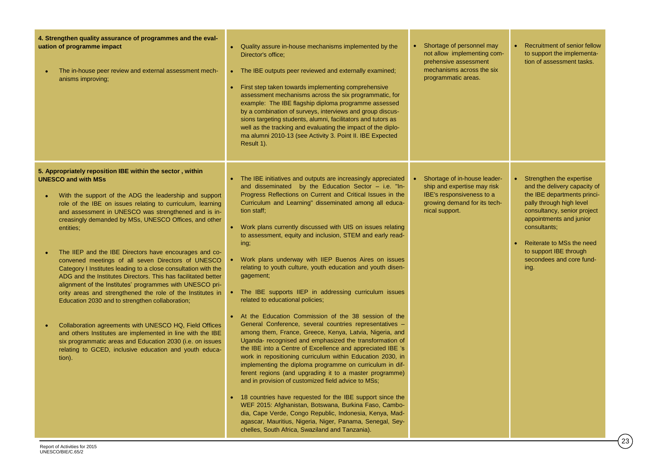| 4. Strengthen quality assurance of programmes and the eval-<br>uation of programme impact<br>The in-house peer review and external assessment mech-<br>anisms improving;                                                                                                                                                                                                                                                                                                                                                                                                                                                                                                                                                                                                                                                                                                                                                                                                                                                               | • Quality assure in-house mechanisms implemented by the<br>Director's office:<br>• The IBE outputs peer reviewed and externally examined;<br>• First step taken towards implementing comprehensive<br>assessment mechanisms across the six programmatic, for<br>example: The IBE flagship diploma programme assessed<br>by a combination of surveys, interviews and group discus-<br>sions targeting students, alumni, facilitators and tutors as<br>well as the tracking and evaluating the impact of the diplo-<br>ma alumni 2010-13 (see Activity 3. Point II. IBE Expected<br>Result 1).                                                                                                                                                                                                                                                                                                                                                                                                                                                                                                                                                                                                                                                                                                                                                                                                                                                                                                | • Shortage of personnel may<br>not allow implementing com-<br>prehensive assessment<br>mechanisms across the six<br>programmatic areas.    | <b>Recruitment of senior fellow</b><br>$\bullet$<br>to support the implementa-<br>tion of assessment tasks.                                                                                                                                                                                   |
|----------------------------------------------------------------------------------------------------------------------------------------------------------------------------------------------------------------------------------------------------------------------------------------------------------------------------------------------------------------------------------------------------------------------------------------------------------------------------------------------------------------------------------------------------------------------------------------------------------------------------------------------------------------------------------------------------------------------------------------------------------------------------------------------------------------------------------------------------------------------------------------------------------------------------------------------------------------------------------------------------------------------------------------|---------------------------------------------------------------------------------------------------------------------------------------------------------------------------------------------------------------------------------------------------------------------------------------------------------------------------------------------------------------------------------------------------------------------------------------------------------------------------------------------------------------------------------------------------------------------------------------------------------------------------------------------------------------------------------------------------------------------------------------------------------------------------------------------------------------------------------------------------------------------------------------------------------------------------------------------------------------------------------------------------------------------------------------------------------------------------------------------------------------------------------------------------------------------------------------------------------------------------------------------------------------------------------------------------------------------------------------------------------------------------------------------------------------------------------------------------------------------------------------------|--------------------------------------------------------------------------------------------------------------------------------------------|-----------------------------------------------------------------------------------------------------------------------------------------------------------------------------------------------------------------------------------------------------------------------------------------------|
| 5. Appropriately reposition IBE within the sector, within<br><b>UNESCO and with MSs</b><br>With the support of the ADG the leadership and support<br>role of the IBE on issues relating to curriculum, learning<br>and assessment in UNESCO was strengthened and is in-<br>creasingly demanded by MSs, UNESCO Offices, and other<br>entities;<br>The IIEP and the IBE Directors have encourages and co-<br>convened meetings of all seven Directors of UNESCO<br>Category I Institutes leading to a close consultation with the<br>ADG and the Institutes Directors. This has facilitated better<br>alignment of the Institutes' programmes with UNESCO pri-<br>ority areas and strengthened the role of the Institutes in<br>Education 2030 and to strengthen collaboration;<br>Collaboration agreements with UNESCO HQ, Field Offices<br>and others Institutes are implemented in line with the IBE<br>six programmatic areas and Education 2030 (i.e. on issues<br>relating to GCED, inclusive education and youth educa-<br>tion). | The IBE initiatives and outputs are increasingly appreciated<br>and disseminated by the Education Sector - i.e. "In-<br>Progress Reflections on Current and Critical Issues in the<br>Curriculum and Learning" disseminated among all educa-<br>tion staff;<br>• Work plans currently discussed with UIS on issues relating<br>to assessment, equity and inclusion, STEM and early read-<br>ing;<br>Work plans underway with IIEP Buenos Aires on issues<br>relating to youth culture, youth education and youth disen-<br>gagement;<br>• The IBE supports IIEP in addressing curriculum issues<br>related to educational policies;<br>• At the Education Commission of the 38 session of the<br>General Conference, several countries representatives -<br>among them, France, Greece, Kenya, Latvia, Nigeria, and<br>Uganda- recognised and emphasized the transformation of<br>the IBE into a Centre of Excellence and appreciated IBE 's<br>work in repositioning curriculum within Education 2030, in<br>implementing the diploma programme on curriculum in dif-<br>ferent regions (and upgrading it to a master programme)<br>and in provision of customized field advice to MSs;<br>• 18 countries have requested for the IBE support since the<br>WEF 2015: Afghanistan, Botswana, Burkina Faso, Cambo-<br>dia, Cape Verde, Congo Republic, Indonesia, Kenya, Mad-<br>agascar, Mauritius, Nigeria, Niger, Panama, Senegal, Sey-<br>chelles, South Africa, Swaziland and Tanzania). | Shortage of in-house leader-<br>ship and expertise may risk<br>IBE's responsiveness to a<br>growing demand for its tech-<br>nical support. | Strengthen the expertise<br>٠<br>and the delivery capacity of<br>the IBE departments princi-<br>pally through high level<br>consultancy, senior project<br>appointments and junior<br>consultants;<br>Reiterate to MSs the need<br>to support IBE through<br>secondees and core fund-<br>ing. |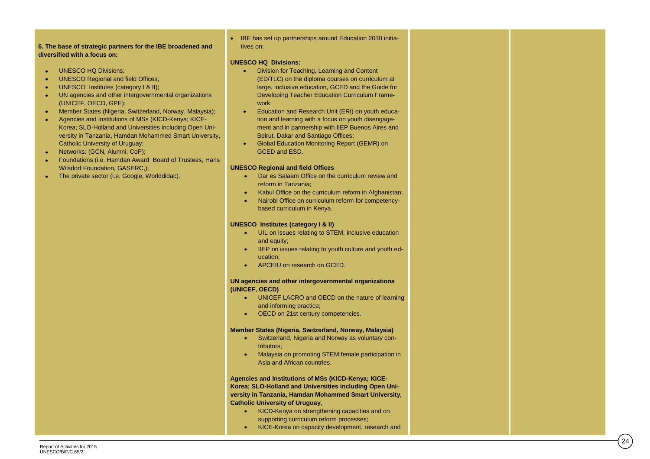**diversified with a focus on:**

- UNESCO HQ Divisions;
- UNESCO Regional and field Offices;
- UNESCO Institutes (category I & II):
- UN agencies and other intergovernmental organizations (UNICEF, OECD, GPE ) ;
- **6. The base of strategic partners for the IBE broadened and<br>
diversified with a focus on:**<br>
UNESCO HQ Divisions;<br>
UNESCO Regional and field Offices:<br>
UNESCO Regional and field Offices:<br>
UNESCO Regional and field Offices:<br> Member States (Nigeria, Switzerland, Norway, Malaysia) ;  $\bullet$ Agencies and Institutions of MSs (KICD -Kenya; KICE - Korea; SLO -Holland and Universities including Open University in Tanzania, Hamdan Mohammed Smart University, Catholic University of Uruguay;
- Networks: (GCN, Alumni, CoP);
- Foundations (i.e. Hamdan Award Board of Trustees, Hans Wilsdorf Foundation, GASERC,);
- The private sector (i.e. Google, Worlddidac).

#### IBE has set up partnerships around Education 2030 initiatives on:

#### **UNESCO HQ Divisions:**

- Division for Teaching, Learning and Content (ED/TLC) on the diploma courses on curriculum at large, inclusive education, GCED and the Guide for Developing Teacher Education Curriculum Framework;
- Education and Research Unit (ERI) on youth education and learning with a focus on youth disengagement and in partnership with IIEP Buenos Aires and Beirut, Dakar and Santiago Offices ;
- Global Education Monitoring Report (GEMR) on GCED and ESD .

#### **UNESCO Regional and field Offices**

- Dar es Salaam Office on the curriculum review and reform in Tanzania ;
- Kabul Office on the curriculum reform in Afghanistan;
- Nairobi Office on curriculum reform for competency based curriculum in Kenya .

#### **UNESCO Institutes (category I & II)**

- **•** UIL on issues relating to STEM, inclusive education and equity ;
- IIEP on issues relating to youth culture and youth education;
- APCEIU on research on GCED.

#### **UN agencies and other intergovernmental organizations (UNICEF, OECD)**

- UNICEF LACRO and OECD on the nature of learning and informing practice ;
- OECD on 21st century competencies .

#### **Member States (Nigeria, Switzerland, Norway, Malaysia)**

- Switzerland, Nigeria and Norway as voluntary contributors;
- Malaysia on promoting STEM female participation in Asia and African countries .

**Agencies and Institutions of MSs (KICD -Kenya; KICE - Korea; SLO -Holland and Universities including Open University in Tanzania, Hamdan Mohammed Smart University, Catholic University of Uruguay**,

- KICD-Kenya on strengthening capacities and on supporting curriculum reform processes;
- KICE-Korea on capacity development, research and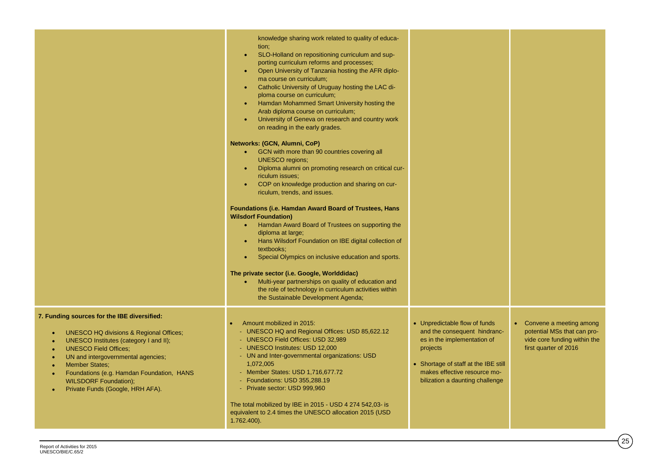|                                                                                                                                                                                                                                                                                                                                                             | knowledge sharing work related to quality of educa-<br>tion;<br>SLO-Holland on repositioning curriculum and sup-<br>$\bullet$<br>porting curriculum reforms and processes;<br>Open University of Tanzania hosting the AFR diplo-<br>$\bullet$<br>ma course on curriculum;<br>Catholic University of Uruguay hosting the LAC di-<br>$\bullet$<br>ploma course on curriculum;<br>Hamdan Mohammed Smart University hosting the<br>$\bullet$<br>Arab diploma course on curriculum;<br>University of Geneva on research and country work<br>$\bullet$<br>on reading in the early grades.<br>Networks: (GCN, Alumni, CoP)<br>• GCN with more than 90 countries covering all<br><b>UNESCO</b> regions;<br>Diploma alumni on promoting research on critical cur-<br>$\bullet$<br>riculum issues:<br>COP on knowledge production and sharing on cur-<br>$\bullet$<br>riculum, trends, and issues.<br>Foundations (i.e. Hamdan Award Board of Trustees, Hans<br><b>Wilsdorf Foundation)</b><br>• Hamdan Award Board of Trustees on supporting the<br>diploma at large;<br>Hans Wilsdorf Foundation on IBE digital collection of<br>$\bullet$<br>textbooks;<br>Special Olympics on inclusive education and sports.<br>$\bullet$<br>The private sector (i.e. Google, Worlddidac)<br>Multi-year partnerships on quality of education and<br>$\bullet$ .<br>the role of technology in curriculum activities within<br>the Sustainable Development Agenda; |                                                                                                                                                                                                                     |                                                                                                                   |
|-------------------------------------------------------------------------------------------------------------------------------------------------------------------------------------------------------------------------------------------------------------------------------------------------------------------------------------------------------------|---------------------------------------------------------------------------------------------------------------------------------------------------------------------------------------------------------------------------------------------------------------------------------------------------------------------------------------------------------------------------------------------------------------------------------------------------------------------------------------------------------------------------------------------------------------------------------------------------------------------------------------------------------------------------------------------------------------------------------------------------------------------------------------------------------------------------------------------------------------------------------------------------------------------------------------------------------------------------------------------------------------------------------------------------------------------------------------------------------------------------------------------------------------------------------------------------------------------------------------------------------------------------------------------------------------------------------------------------------------------------------------------------------------------------------------------|---------------------------------------------------------------------------------------------------------------------------------------------------------------------------------------------------------------------|-------------------------------------------------------------------------------------------------------------------|
| 7. Funding sources for the IBE diversified:<br><b>UNESCO HQ divisions &amp; Regional Offices;</b><br>UNESCO Institutes (category I and II);<br><b>UNESCO Field Offices:</b><br>UN and intergovernmental agencies;<br><b>Member States:</b><br>Foundations (e.g. Hamdan Foundation, HANS<br><b>WILSDORF Foundation);</b><br>Private Funds (Google, HRH AFA). | Amount mobilized in 2015:<br>- UNESCO HQ and Regional Offices: USD 85,622.12<br>- UNESCO Field Offices: USD 32,989<br>- UNESCO Institutes: USD 12,000<br>- UN and Inter-governmental organizations: USD<br>1,072,005<br>- Member States: USD 1,716,677.72<br>- Foundations: USD 355,288.19<br>- Private sector: USD 999,960<br>The total mobilized by IBE in 2015 - USD 4 274 542,03- is<br>equivalent to 2.4 times the UNESCO allocation 2015 (USD<br>$1.762.400$ ).                                                                                                                                                                                                                                                                                                                                                                                                                                                                                                                                                                                                                                                                                                                                                                                                                                                                                                                                                                       | • Unpredictable flow of funds<br>and the consequent hindranc-<br>es in the implementation of<br>projects<br>• Shortage of staff at the IBE still<br>makes effective resource mo-<br>bilization a daunting challenge | • Convene a meeting among<br>potential MSs that can pro-<br>vide core funding within the<br>first quarter of 2016 |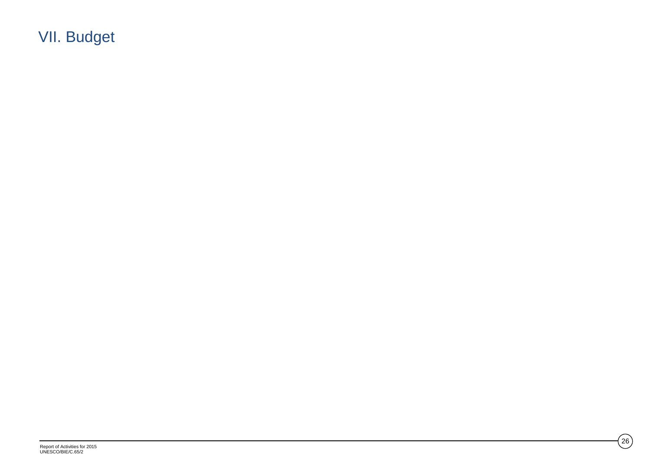VII. Budget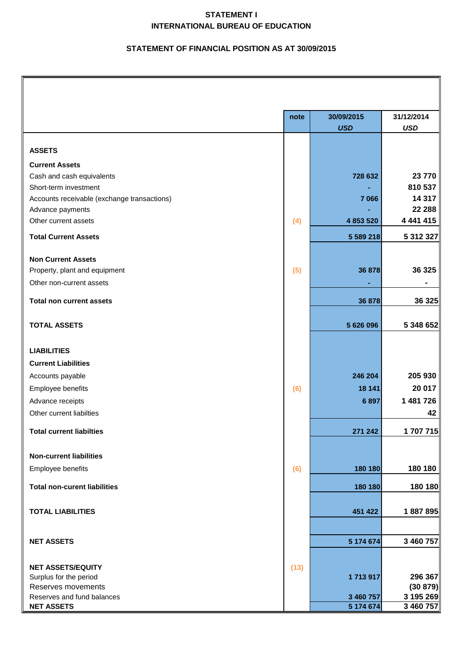## **STATEMENT I INTERNATIONAL BUREAU OF EDUCATION**

### **STATEMENT OF FINANCIAL POSITION AS AT 30/09/2015**

|                                                  | note | 30/09/2015 | 31/12/2014            |
|--------------------------------------------------|------|------------|-----------------------|
|                                                  |      | <b>USD</b> | <b>USD</b>            |
|                                                  |      |            |                       |
| <b>ASSETS</b>                                    |      |            |                       |
| <b>Current Assets</b>                            |      |            |                       |
| Cash and cash equivalents                        |      | 728 632    | 23770                 |
| Short-term investment                            |      |            | 810 537               |
| Accounts receivable (exchange transactions)      |      | 7 0 6 6    | 14 317                |
| Advance payments                                 |      |            | 22 288                |
| Other current assets                             | (4)  | 4 853 520  | 4 441 415             |
| <b>Total Current Assets</b>                      |      | 5 589 218  | 5 312 327             |
|                                                  |      |            |                       |
| <b>Non Current Assets</b>                        |      |            | 36 325                |
| Property, plant and equipment                    | (5)  | 36 878     |                       |
| Other non-current assets                         |      |            |                       |
| <b>Total non current assets</b>                  |      | 36 878     | 36 325                |
|                                                  |      |            |                       |
| <b>TOTAL ASSETS</b>                              |      | 5 626 096  | 5 348 652             |
|                                                  |      |            |                       |
| <b>LIABILITIES</b>                               |      |            |                       |
| <b>Current Liabilities</b>                       |      |            |                       |
| Accounts payable                                 |      | 246 204    | 205 930               |
| Employee benefits                                | (6)  | 18 141     | 20 017                |
| Advance receipts                                 |      | 6897       | 1 481 726             |
| Other current liabilties                         |      |            | 42                    |
| <b>Total current liabilties</b>                  |      | 271 242    | 1 707 715             |
|                                                  |      |            |                       |
| <b>Non-current liabilities</b>                   |      | 180 180    | 180 180               |
| Employee benefits                                | (6)  |            |                       |
| <b>Total non-curent liabilities</b>              |      | 180 180    | 180 180               |
| <b>TOTAL LIABILITIES</b>                         |      | 451 422    | 1887895               |
|                                                  |      |            |                       |
| <b>NET ASSETS</b>                                |      | 5 174 674  | 3 460 757             |
|                                                  |      |            |                       |
| <b>NET ASSETS/EQUITY</b>                         | (13) |            |                       |
| Surplus for the period                           |      | 1713917    | 296 367               |
| Reserves movements<br>Reserves and fund balances |      | 3 460 757  | (30 879)<br>3 195 269 |
| <b>NET ASSETS</b>                                |      | 5 174 674  | 3 460 757             |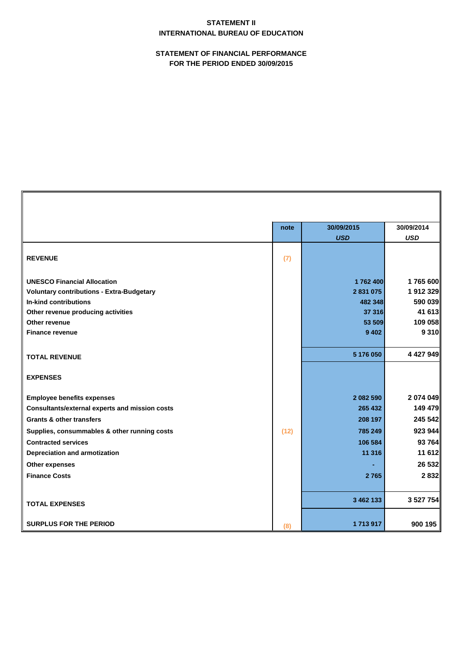## **STATEMENT II INTERNATIONAL BUREAU OF EDUCATION**

**STATEMENT OF FINANCIAL PERFORMANCE FOR THE PERIOD ENDED 30/09/2015**

|                                                       | note | 30/09/2015 | 30/09/2014 |
|-------------------------------------------------------|------|------------|------------|
|                                                       |      | <b>USD</b> | <b>USD</b> |
| <b>REVENUE</b>                                        | (7)  |            |            |
| <b>UNESCO Financial Allocation</b>                    |      | 1762400    | 1765 600   |
| <b>Voluntary contributions - Extra-Budgetary</b>      |      | 2 831 075  | 1912 329   |
| <b>In-kind contributions</b>                          |      | 482 348    | 590 039    |
| Other revenue producing activities                    |      | 37 316     | 41 613     |
| Other revenue                                         |      | 53 509     | 109 058    |
| <b>Finance revenue</b>                                |      | 9 4 0 2    | 9310       |
|                                                       |      |            |            |
| <b>TOTAL REVENUE</b>                                  |      | 5 176 050  | 4 427 949  |
| <b>EXPENSES</b>                                       |      |            |            |
| <b>Employee benefits expenses</b>                     |      | 2 082 590  | 2 074 049  |
| <b>Consultants/external experts and mission costs</b> |      | 265 432    | 149 479    |
| <b>Grants &amp; other transfers</b>                   |      | 208 197    | 245 542    |
| Supplies, consummables & other running costs          | (12) | 785 249    | 923944     |
| <b>Contracted services</b>                            |      | 106 584    | 93 764     |
| <b>Depreciation and armotization</b>                  |      | 11 316     | 11612      |
| <b>Other expenses</b>                                 |      |            | 26 532     |
| <b>Finance Costs</b>                                  |      | 2765       | 2 8 3 2    |
|                                                       |      |            |            |
| <b>TOTAL EXPENSES</b>                                 |      | 3 462 133  | 3 527 754  |
| <b>SURPLUS FOR THE PERIOD</b>                         | (8)  | 1713917    | 900 195    |